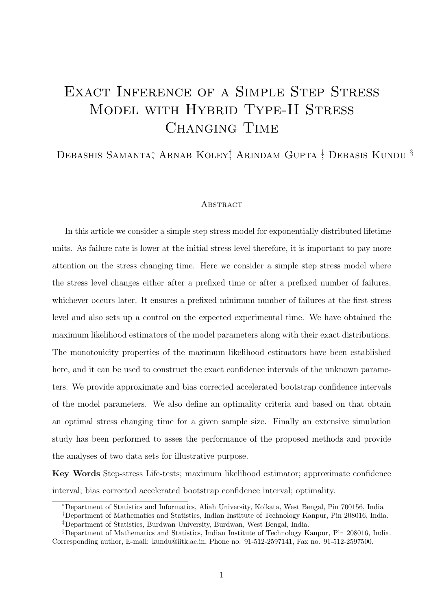# EXACT INFERENCE OF A SIMPLE STEP STRESS MODEL WITH HYBRID TYPE-II STRESS CHANGING TIME

Debashis Samanta<sup>\*</sup>, Arnab Koley<sup>†</sup>, Arindam Gupta <sup>‡</sup>, Debasis Kundu <sup>§</sup>

#### **ABSTRACT**

In this article we consider a simple step stress model for exponentially distributed lifetime units. As failure rate is lower at the initial stress level therefore, it is important to pay more attention on the stress changing time. Here we consider a simple step stress model where the stress level changes either after a prefixed time or after a prefixed number of failures, whichever occurs later. It ensures a prefixed minimum number of failures at the first stress level and also sets up a control on the expected experimental time. We have obtained the maximum likelihood estimators of the model parameters along with their exact distributions. The monotonicity properties of the maximum likelihood estimators have been established here, and it can be used to construct the exact confidence intervals of the unknown parameters. We provide approximate and bias corrected accelerated bootstrap confidence intervals of the model parameters. We also define an optimality criteria and based on that obtain an optimal stress changing time for a given sample size. Finally an extensive simulation study has been performed to asses the performance of the proposed methods and provide the analyses of two data sets for illustrative purpose.

Key Words Step-stress Life-tests; maximum likelihood estimator; approximate confidence interval; bias corrected accelerated bootstrap confidence interval; optimality.

<sup>∗</sup>Department of Statistics and Informatics, Aliah University, Kolkata, West Bengal, Pin 700156, India

<sup>†</sup>Department of Mathematics and Statistics, Indian Institute of Technology Kanpur, Pin 208016, India.

<sup>‡</sup>Department of Statistics, Burdwan University, Burdwan, West Bengal, India.

<sup>§</sup>Department of Mathematics and Statistics, Indian Institute of Technology Kanpur, Pin 208016, India. Corresponding author, E-mail: kundu@iitk.ac.in, Phone no. 91-512-2597141, Fax no. 91-512-2597500.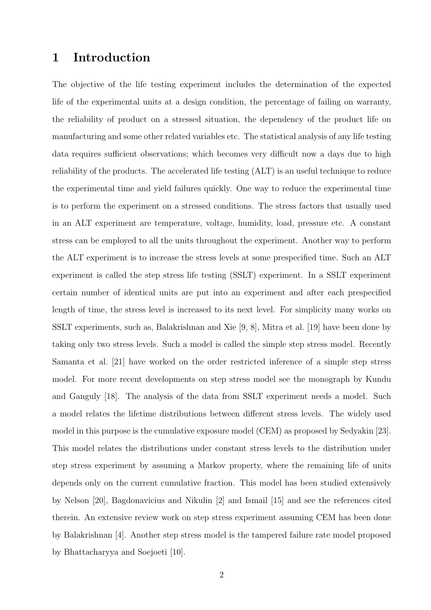## 1 Introduction

The objective of the life testing experiment includes the determination of the expected life of the experimental units at a design condition, the percentage of failing on warranty, the reliability of product on a stressed situation, the dependency of the product life on manufacturing and some other related variables etc. The statistical analysis of any life testing data requires sufficient observations; which becomes very difficult now a days due to high reliability of the products. The accelerated life testing (ALT) is an useful technique to reduce the experimental time and yield failures quickly. One way to reduce the experimental time is to perform the experiment on a stressed conditions. The stress factors that usually used in an ALT experiment are temperature, voltage, humidity, load, pressure etc. A constant stress can be employed to all the units throughout the experiment. Another way to perform the ALT experiment is to increase the stress levels at some prespecified time. Such an ALT experiment is called the step stress life testing (SSLT) experiment. In a SSLT experiment certain number of identical units are put into an experiment and after each prespecified length of time, the stress level is increased to its next level. For simplicity many works on SSLT experiments, such as, Balakrishnan and Xie [9, 8], Mitra et al. [19] have been done by taking only two stress levels. Such a model is called the simple step stress model. Recently Samanta et al. [21] have worked on the order restricted inference of a simple step stress model. For more recent developments on step stress model see the monograph by Kundu and Ganguly [18]. The analysis of the data from SSLT experiment needs a model. Such a model relates the lifetime distributions between different stress levels. The widely used model in this purpose is the cumulative exposure model (CEM) as proposed by Sedyakin [23]. This model relates the distributions under constant stress levels to the distribution under step stress experiment by assuming a Markov property, where the remaining life of units depends only on the current cumulative fraction. This model has been studied extensively by Nelson [20], Bagdonavicius and Nikulin [2] and Ismail [15] and see the references cited therein. An extensive review work on step stress experiment assuming CEM has been done by Balakrishnan [4]. Another step stress model is the tampered failure rate model proposed by Bhattacharyya and Soejoeti [10].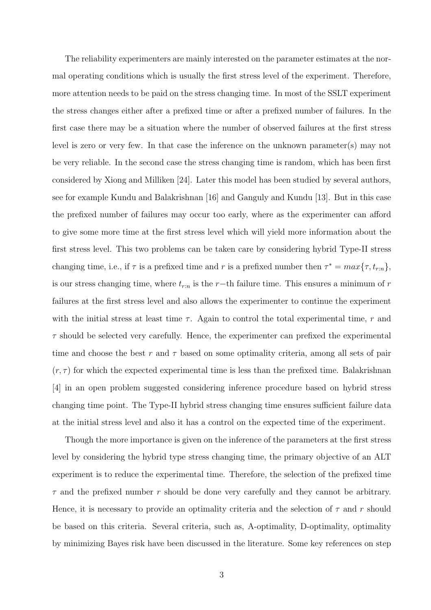The reliability experimenters are mainly interested on the parameter estimates at the normal operating conditions which is usually the first stress level of the experiment. Therefore, more attention needs to be paid on the stress changing time. In most of the SSLT experiment the stress changes either after a prefixed time or after a prefixed number of failures. In the first case there may be a situation where the number of observed failures at the first stress level is zero or very few. In that case the inference on the unknown parameter(s) may not be very reliable. In the second case the stress changing time is random, which has been first considered by Xiong and Milliken [24]. Later this model has been studied by several authors, see for example Kundu and Balakrishnan [16] and Ganguly and Kundu [13]. But in this case the prefixed number of failures may occur too early, where as the experimenter can afford to give some more time at the first stress level which will yield more information about the first stress level. This two problems can be taken care by considering hybrid Type-II stress changing time, i.e., if  $\tau$  is a prefixed time and r is a prefixed number then  $\tau^* = max\{\tau, t_{r:n}\},$ is our stress changing time, where  $t_{r:n}$  is the r−th failure time. This ensures a minimum of r failures at the first stress level and also allows the experimenter to continue the experiment with the initial stress at least time  $\tau$ . Again to control the total experimental time, r and  $\tau$  should be selected very carefully. Hence, the experimenter can prefixed the experimental time and choose the best r and  $\tau$  based on some optimality criteria, among all sets of pair  $(r, \tau)$  for which the expected experimental time is less than the prefixed time. Balakrishnan [4] in an open problem suggested considering inference procedure based on hybrid stress changing time point. The Type-II hybrid stress changing time ensures sufficient failure data at the initial stress level and also it has a control on the expected time of the experiment.

Though the more importance is given on the inference of the parameters at the first stress level by considering the hybrid type stress changing time, the primary objective of an ALT experiment is to reduce the experimental time. Therefore, the selection of the prefixed time  $\tau$  and the prefixed number r should be done very carefully and they cannot be arbitrary. Hence, it is necessary to provide an optimality criteria and the selection of  $\tau$  and r should be based on this criteria. Several criteria, such as, A-optimality, D-optimality, optimality by minimizing Bayes risk have been discussed in the literature. Some key references on step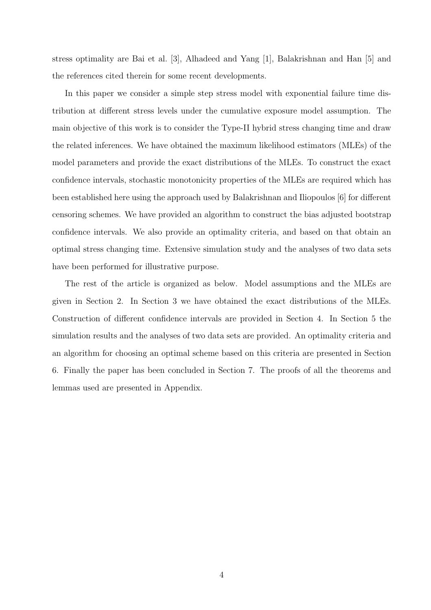stress optimality are Bai et al. [3], Alhadeed and Yang [1], Balakrishnan and Han [5] and the references cited therein for some recent developments.

In this paper we consider a simple step stress model with exponential failure time distribution at different stress levels under the cumulative exposure model assumption. The main objective of this work is to consider the Type-II hybrid stress changing time and draw the related inferences. We have obtained the maximum likelihood estimators (MLEs) of the model parameters and provide the exact distributions of the MLEs. To construct the exact confidence intervals, stochastic monotonicity properties of the MLEs are required which has been established here using the approach used by Balakrishnan and Iliopoulos [6] for different censoring schemes. We have provided an algorithm to construct the bias adjusted bootstrap confidence intervals. We also provide an optimality criteria, and based on that obtain an optimal stress changing time. Extensive simulation study and the analyses of two data sets have been performed for illustrative purpose.

The rest of the article is organized as below. Model assumptions and the MLEs are given in Section 2. In Section 3 we have obtained the exact distributions of the MLEs. Construction of different confidence intervals are provided in Section 4. In Section 5 the simulation results and the analyses of two data sets are provided. An optimality criteria and an algorithm for choosing an optimal scheme based on this criteria are presented in Section 6. Finally the paper has been concluded in Section 7. The proofs of all the theorems and lemmas used are presented in Appendix.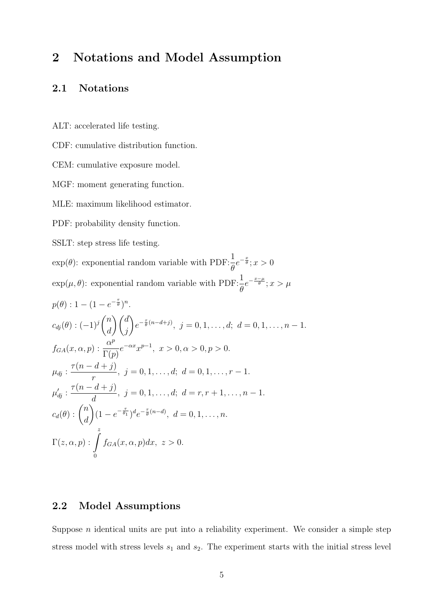## 2 Notations and Model Assumption

### 2.1 Notations

ALT: accelerated life testing.

CDF: cumulative distribution function.

CEM: cumulative exposure model.

MGF: moment generating function.

MLE: maximum likelihood estimator.

PDF: probability density function.

SSLT: step stress life testing.

 $\exp(\theta)$ : exponential random variable with PDF: $\frac{1}{\theta}$  $e^{-\frac{x}{\theta}}$ ;  $x > 0$  $\exp(\mu, \theta)$ : exponential random variable with PDF: $\frac{1}{\theta}$  $e^{-\frac{x-\mu}{\theta}}$ ;  $x > \mu$ 

$$
p(\theta) : 1 - (1 - e^{-\frac{\tau}{\theta}})^n.
$$
  
\n
$$
c_{dj}(\theta) : (-1)^j {n \choose d} {d \choose j} e^{-\frac{\tau}{\theta}(n-d+j)}, \ j = 0, 1, ..., d; \ d = 0, 1, ..., n - 1.
$$
  
\n
$$
f_{GA}(x, \alpha, p) : \frac{\alpha^p}{\Gamma(p)} e^{-\alpha x} x^{p-1}, \ x > 0, \alpha > 0, p > 0.
$$
  
\n
$$
\mu_{dj} : \frac{\tau(n-d+j)}{r}, \ j = 0, 1, ..., d; \ d = 0, 1, ..., r - 1.
$$
  
\n
$$
\mu'_{dj} : \frac{\tau(n-d+j)}{d}, \ j = 0, 1, ..., d; \ d = r, r + 1, ..., n - 1.
$$
  
\n
$$
c_d(\theta) : {n \choose d} (1 - e^{-\frac{\tau}{\theta_1}})^d e^{-\frac{\tau}{\theta}(n-d)}, \ d = 0, 1, ..., n.
$$
  
\n
$$
\Gamma(z, \alpha, p) : \int_{0}^{z} f_{GA}(x, \alpha, p) dx, \ z > 0.
$$

### 2.2 Model Assumptions

Suppose  $n$  identical units are put into a reliability experiment. We consider a simple step stress model with stress levels  $s_1$  and  $s_2$ . The experiment starts with the initial stress level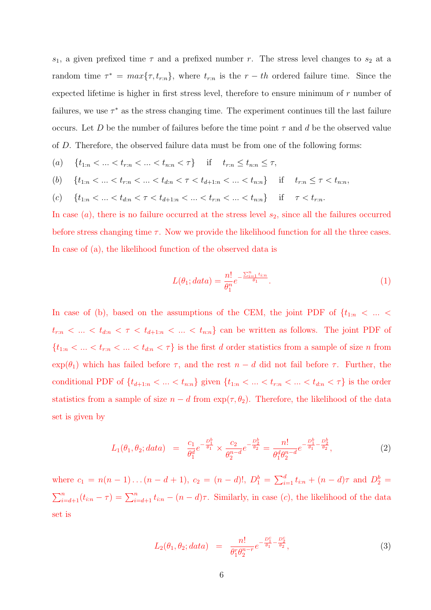$s_1$ , a given prefixed time  $\tau$  and a prefixed number r. The stress level changes to  $s_2$  at a random time  $\tau^* = max\{\tau, t_{r:n}\},$  where  $t_{r:n}$  is the  $r - th$  ordered failure time. Since the expected lifetime is higher in first stress level, therefore to ensure minimum of  $r$  number of failures, we use  $\tau^*$  as the stress changing time. The experiment continues till the last failure occurs. Let D be the number of failures before the time point  $\tau$  and d be the observed value of D. Therefore, the observed failure data must be from one of the following forms:

(a) 
$$
\{t_{1:n} < ... < t_{r:n} < ... < t_{n:n} < \tau\}
$$
 if  $t_{r:n} \leq t_{n:n} \leq \tau$ ,

(b) 
$$
\{t_{1:n} < \ldots < t_{r:n} < \ldots < t_{d:n} < \tau < t_{d+1:n} < \ldots < t_{n:n}\} \quad \text{if} \quad t_{r:n} \leq \tau < t_{n:n},
$$

(c) 
$$
\{t_{1:n} < ... < t_{d:n} < \tau < t_{d+1:n} < ... < t_{r:n} < ... < t_{n:n}\}
$$
 if  $\tau < t_{r:n}$ .

In case  $(a)$ , there is no failure occurred at the stress level  $s_2$ , since all the failures occurred before stress changing time  $\tau$ . Now we provide the likelihood function for all the three cases. In case of (a), the likelihood function of the observed data is

$$
L(\theta_1; data) = \frac{n!}{\theta_1^n} e^{-\frac{\sum_{i=1}^n t_{i:n}}{\theta_1}}.
$$
\n(1)

In case of (b), based on the assumptions of the CEM, the joint PDF of  $\{t_{1:n} < ... <$  $t_{r:n} < ... < t_{d:n} < \tau < t_{d+1:n} < ... < t_{n:n}$  can be written as follows. The joint PDF of  ${t_{1:n} < ... < t_{r:n} < ... < t_{d:n} < \tau}$  is the first d order statistics from a sample of size n from  $\exp(\theta_1)$  which has failed before  $\tau$ , and the rest  $n - d$  did not fail before  $\tau$ . Further, the conditional PDF of  $\{t_{d+1:n} < \ldots < t_{n:n}\}$  given  $\{t_{1:n} < \ldots < t_{r:n} < \ldots < t_{d:n} < \tau\}$  is the order statistics from a sample of size  $n - d$  from  $\exp(\tau, \theta_2)$ . Therefore, the likelihood of the data set is given by

$$
L_1(\theta_1, \theta_2; data) = \frac{c_1}{\theta_1^d} e^{-\frac{D_1^b}{\theta_1}} \times \frac{c_2}{\theta_2^{n-d}} e^{-\frac{D_2^b}{\theta_2}} = \frac{n!}{\theta_1^d \theta_2^{n-d}} e^{-\frac{D_1^b}{\theta_1} - \frac{D_2^b}{\theta_2}}, \tag{2}
$$

where  $c_1 = n(n-1)...(n-d+1)$ ,  $c_2 = (n-d)!$ ,  $D_1^b = \sum_{i=1}^d t_{i:n} + (n-d)\tau$  and  $D_2^b =$  $\sum_{i=d+1}^{n} (t_{i:n} - \tau) = \sum_{i=d+1}^{n} t_{i:n} - (n-d)\tau$ . Similarly, in case (c), the likelihood of the data set is

$$
L_2(\theta_1, \theta_2; data) = \frac{n!}{\theta_1^n \theta_2^{n-r}} e^{-\frac{D_1^c}{\theta_1} - \frac{D_2^c}{\theta_2}}, \tag{3}
$$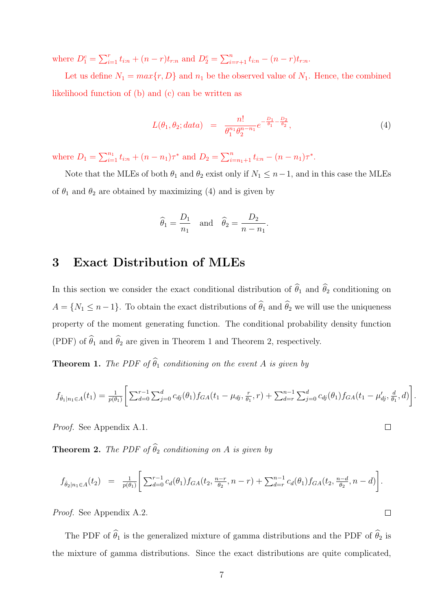where  $D_1^c = \sum_{i=1}^r t_{i:n} + (n-r)t_{r:n}$  and  $D_2^c = \sum_{i=r+1}^n t_{i:n} - (n-r)t_{r:n}$ .

Let us define  $N_1 = max\{r, D\}$  and  $n_1$  be the observed value of  $N_1$ . Hence, the combined likelihood function of (b) and (c) can be written as

$$
L(\theta_1, \theta_2; data) = \frac{n!}{\theta_1^{n_1} \theta_2^{n-n_1}} e^{-\frac{D_1}{\theta_1} - \frac{D_2}{\theta_2}}, \tag{4}
$$

where  $D_1 = \sum_{i=1}^{n_1} t_{i:n} + (n - n_1)\tau^*$  and  $D_2 = \sum_{i=n_1+1}^{n} t_{i:n} - (n - n_1)\tau^*$ .

Note that the MLEs of both  $\theta_1$  and  $\theta_2$  exist only if  $N_1 \leq n-1$ , and in this case the MLEs of  $\theta_1$  and  $\theta_2$  are obtained by maximizing (4) and is given by

$$
\widehat{\theta}_1 = \frac{D_1}{n_1}
$$
 and  $\widehat{\theta}_2 = \frac{D_2}{n - n_1}$ .

## 3 Exact Distribution of MLEs

In this section we consider the exact conditional distribution of  $\hat{\theta}_1$  and  $\hat{\theta}_2$  conditioning on  $A = \{N_1 \leq n-1\}$ . To obtain the exact distributions of  $\widehat{\theta}_1$  and  $\widehat{\theta}_2$  we will use the uniqueness property of the moment generating function. The conditional probability density function (PDF) of  $\widehat{\theta}_1$  and  $\widehat{\theta}_2$  are given in Theorem 1 and Theorem 2, respectively.

**Theorem 1.** *The PDF of*  $\widehat{\theta}_1$  *conditioning on the event A is given by* 

$$
f_{\hat{\theta}_1|n_1 \in A}(t_1) = \frac{1}{p(\theta_1)} \left[ \sum_{d=0}^{r-1} \sum_{j=0}^d c_{dj}(\theta_1) f_{GA}(t_1 - \mu_{dj}, \frac{r}{\theta_1}, r) + \sum_{d=r}^{n-1} \sum_{j=0}^d c_{dj}(\theta_1) f_{GA}(t_1 - \mu_{dj}', \frac{d}{\theta_1}, d) \right]
$$

*Proof.* See Appendix A.1.

**Theorem 2.** *The PDF of*  $\widehat{\theta}_2$  *conditioning on* A *is given by* 

$$
f_{\hat{\theta}_2|n_1\in A}(t_2) = \frac{1}{p(\theta_1)} \Bigg[ \sum_{d=0}^{r-1} c_d(\theta_1) f_{GA}(t_2, \frac{n-r}{\theta_2}, n-r) + \sum_{d=r}^{n-1} c_d(\theta_1) f_{GA}(t_2, \frac{n-d}{\theta_2}, n-d) \Bigg].
$$

*Proof.* See Appendix A.2.

The PDF of  $\hat{\theta}_1$  is the generalized mixture of gamma distributions and the PDF of  $\hat{\theta}_2$  is the mixture of gamma distributions. Since the exact distributions are quite complicated,

 $\Box$ 

 $\Box$ 

.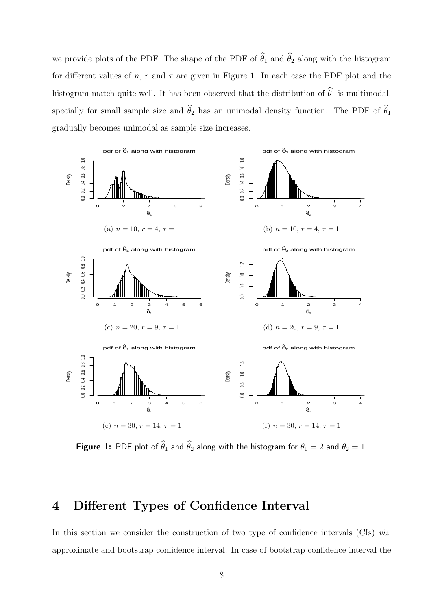we provide plots of the PDF. The shape of the PDF of  $\hat{\theta}_1$  and  $\hat{\theta}_2$  along with the histogram for different values of n, r and  $\tau$  are given in Figure 1. In each case the PDF plot and the histogram match quite well. It has been observed that the distribution of  $\hat{\theta}_1$  is multimodal, specially for small sample size and  $\widehat{\theta}_2$  has an unimodal density function. The PDF of  $\widehat{\theta}_1$ gradually becomes unimodal as sample size increases.



**Figure 1:** PDF plot of  $\widehat{\theta}_1$  and  $\widehat{\theta}_2$  along with the histogram for  $\theta_1 = 2$  and  $\theta_2 = 1$ .

## 4 Different Types of Confidence Interval

In this section we consider the construction of two type of confidence intervals (CIs) *viz.* approximate and bootstrap confidence interval. In case of bootstrap confidence interval the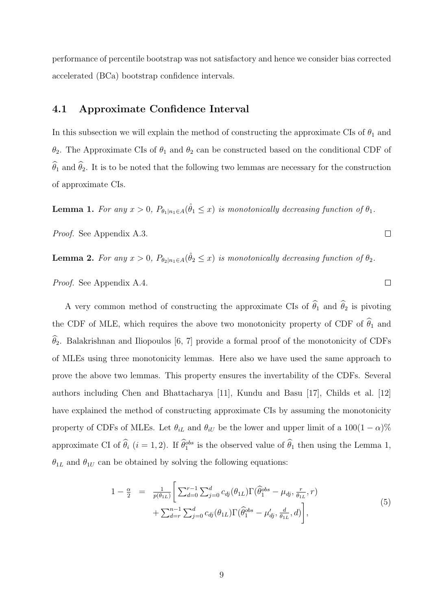performance of percentile bootstrap was not satisfactory and hence we consider bias corrected accelerated (BCa) bootstrap confidence intervals.

### 4.1 Approximate Confidence Interval

In this subsection we will explain the method of constructing the approximate CIs of  $\theta_1$  and  $\theta_2$ . The Approximate CIs of  $\theta_1$  and  $\theta_2$  can be constructed based on the conditional CDF of  $\widehat{\theta}_1$  and  $\widehat{\theta}_2$ . It is to be noted that the following two lemmas are necessary for the construction of approximate CIs.

Lemma 1. *For any*  $x > 0$ ,  $P_{\theta_1|n_1 \in A}(\hat{\theta}_1 \leq x)$  *is monotonically decreasing function of*  $\theta_1$ *.* 

*Proof.* See Appendix A.3.

Lemma 2. For any  $x > 0$ ,  $P_{\theta_2|n_1 \in A}(\hat{\theta}_2 \leq x)$  is monotonically decreasing function of  $\theta_2$ .

*Proof.* See Appendix A.4.

A very common method of constructing the approximate CIs of  $\hat{\theta}_1$  and  $\hat{\theta}_2$  is pivoting the CDF of MLE, which requires the above two monotonicity property of CDF of  $\widehat{\theta}_1$  and  $\widehat{\theta}_2$ . Balakrishnan and Iliopoulos [6, 7] provide a formal proof of the monotonicity of CDFs of MLEs using three monotonicity lemmas. Here also we have used the same approach to prove the above two lemmas. This property ensures the invertability of the CDFs. Several authors including Chen and Bhattacharya [11], Kundu and Basu [17], Childs et al. [12] have explained the method of constructing approximate CIs by assuming the monotonicity property of CDFs of MLEs. Let  $\theta_{iL}$  and  $\theta_{iU}$  be the lower and upper limit of a 100(1 –  $\alpha$ )% approximate CI of  $\hat{\theta}_i$  ( $i = 1, 2$ ). If  $\hat{\theta}_1^{obs}$  is the observed value of  $\hat{\theta}_1$  then using the Lemma 1,  $\theta_{1L}$  and  $\theta_{1U}$  can be obtained by solving the following equations:

$$
1 - \frac{\alpha}{2} = \frac{1}{p(\theta_{1L})} \left[ \sum_{d=0}^{r-1} \sum_{j=0}^{d} c_{dj}(\theta_{1L}) \Gamma(\hat{\theta}_{1}^{obs} - \mu_{dj}, \frac{r}{\theta_{1L}}, r) + \sum_{d=r}^{n-1} \sum_{j=0}^{d} c_{dj}(\theta_{1L}) \Gamma(\hat{\theta}_{1}^{obs} - \mu_{dj}', \frac{d}{\theta_{1L}}, d) \right],
$$
\n(5)

 $\Box$ 

 $\Box$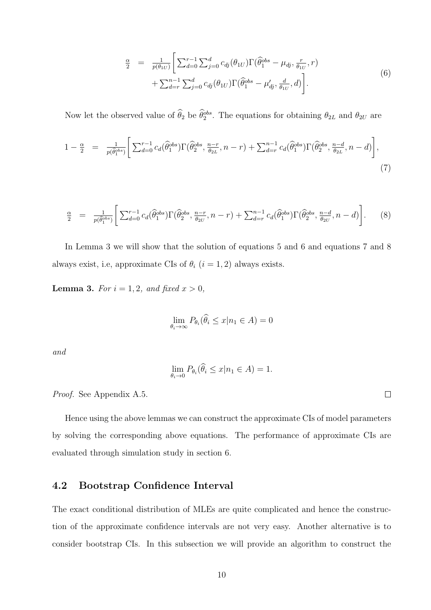$$
\frac{\alpha}{2} = \frac{1}{p(\theta_{1U})} \Bigg[ \sum_{d=0}^{r-1} \sum_{j=0}^{d} c_{dj}(\theta_{1U}) \Gamma(\widehat{\theta}_{1}^{obs} - \mu_{dj}, \frac{r}{\theta_{1U}}, r) + \sum_{d=r}^{n-1} \sum_{j=0}^{d} c_{dj}(\theta_{1U}) \Gamma(\widehat{\theta}_{1}^{obs} - \mu_{dj}', \frac{d}{\theta_{1U}}, d) \Bigg].
$$
\n(6)

Now let the observed value of  $\theta_2$  be  $\theta_2^{obs}$ . The equations for obtaining  $\theta_{2L}$  and  $\theta_{2U}$  are

$$
1 - \frac{\alpha}{2} = \frac{1}{p(\hat{\theta}_1^{obs})} \Bigg[ \sum_{d=0}^{r-1} c_d(\hat{\theta}_1^{obs}) \Gamma(\hat{\theta}_2^{obs}, \frac{n-r}{\theta_{2L}}, n-r) + \sum_{d=r}^{n-1} c_d(\hat{\theta}_1^{obs}) \Gamma(\hat{\theta}_2^{obs}, \frac{n-d}{\theta_{2L}}, n-d) \Bigg],
$$
\n
$$
(7)
$$

$$
\frac{\alpha}{2} = \frac{1}{p(\hat{\theta}_1^{obs})} \Bigg[ \sum_{d=0}^{r-1} c_d(\hat{\theta}_1^{obs}) \Gamma(\hat{\theta}_2^{obs}, \frac{n-r}{\theta_{2U}}, n-r) + \sum_{d=r}^{n-1} c_d(\hat{\theta}_1^{obs}) \Gamma(\hat{\theta}_2^{obs}, \frac{n-d}{\theta_{2U}}, n-d) \Bigg].
$$
 (8)

In Lemma 3 we will show that the solution of equations 5 and 6 and equations 7 and 8 always exist, i.e, approximate CIs of  $\theta_i$  ( $i = 1, 2$ ) always exists.

**Lemma 3.** *For*  $i = 1, 2$ *, and fixed*  $x > 0$ *,* 

$$
\lim_{\theta_i \to \infty} P_{\theta_i}(\widehat{\theta}_i \le x | n_1 \in A) = 0
$$

*and*

$$
\lim_{\theta_i \to 0} P_{\theta_i}(\widehat{\theta}_i \le x | n_1 \in A) = 1.
$$

*Proof.* See Appendix A.5.

Hence using the above lemmas we can construct the approximate CIs of model parameters by solving the corresponding above equations. The performance of approximate CIs are evaluated through simulation study in section 6.

### 4.2 Bootstrap Confidence Interval

The exact conditional distribution of MLEs are quite complicated and hence the construction of the approximate confidence intervals are not very easy. Another alternative is to consider bootstrap CIs. In this subsection we will provide an algorithm to construct the

 $\Box$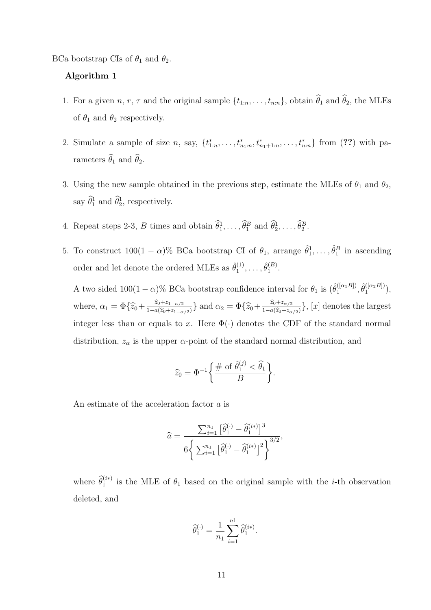BCa bootstrap CIs of  $\theta_1$  and  $\theta_2$ .

#### Algorithm 1

- 1. For a given *n*, *r*, *r* and the original sample  $\{t_{1:n}, \ldots, t_{n:n}\}$ , obtain  $\widehat{\theta}_1$  and  $\widehat{\theta}_2$ , the MLEs of  $\theta_1$  and  $\theta_2$  respectively.
- 2. Simulate a sample of size *n*, say,  $\{t_{1:n}^*, \ldots, t_{n_1:n}^*, t_{n_1+1:n}^*, \ldots, t_{n:n}^*\}$  from (??) with parameters  $\widehat{\theta}_1$  and  $\widehat{\theta}_2$ .
- 3. Using the new sample obtained in the previous step, estimate the MLEs of  $\theta_1$  and  $\theta_2$ , say  $\theta_1^1$  and  $\theta_2^1$ , respectively.
- 4. Repeat steps 2-3, B times and obtain  $\hat{\theta}_1^1, \ldots, \hat{\theta}_1^B$  and  $\hat{\theta}_2^1, \ldots, \hat{\theta}_2^B$ .
- 5. To construct  $100(1-\alpha)$ % BCa bootstrap CI of  $\theta_1$ , arrange  $\hat{\theta}_1^1, \ldots, \hat{\theta}_1^B$  in ascending order and let denote the ordered MLEs as  $\hat{\theta}_1^{(1)}$  $\hat{\theta}_1^{(1)}, \ldots, \hat{\theta}_1^{(B)}$  $\frac{(D)}{1}$ .

A two sided  $100(1-\alpha)\%$  BCa bootstrap confidence interval for  $\theta_1$  is  $(\hat{\theta}_1^{([\alpha_1 B])}$  $\hat{\theta}_1^{([\alpha_1 B])}, \hat{\theta}_1^{([\alpha_2 B])}$  $\binom{(\alpha_2 B)}{1},$ where,  $\alpha_1 = \Phi\{\hat{z}_0 + \frac{\hat{z}_0 + z_{1-\alpha/2}}{1 - a(\hat{z}_0 + z_{1-\alpha})}\}$  $\frac{\widehat{z}_0 + z_{1-\alpha/2}}{1 - a(\widehat{z}_0 + z_{1-\alpha/2})}$  and  $\alpha_2 = \Phi\{\widehat{z}_0 + \frac{\widehat{z}_0 + z_{\alpha/2}}{1 - a(\widehat{z}_0 + z_{\alpha/2})}\}$  $\frac{z_0+z_{\alpha/2}}{1-a(\hat{z}_0+z_{\alpha/2})}\}, [x]$  denotes the largest integer less than or equals to x. Here  $\Phi(\cdot)$  denotes the CDF of the standard normal distribution,  $z_{\alpha}$  is the upper  $\alpha$ -point of the standard normal distribution, and

$$
\widehat{z}_0 = \Phi^{-1} \bigg\{ \frac{\# \text{ of } \widehat{\theta}_1^{(j)} < \widehat{\theta}_1}{B} \bigg\}.
$$

An estimate of the acceleration factor a is

$$
\widehat{a} = \frac{\sum_{i=1}^{n_1} \left[ \widehat{\theta}_1^{(\cdot)} - \widehat{\theta}_1^{(i*)} \right]^3}{6 \left\{ \sum_{i=1}^{n_1} \left[ \widehat{\theta}_1^{(\cdot)} - \widehat{\theta}_1^{(i*)} \right]^2 \right\}^{3/2}},
$$

where  $\hat{\theta}_1^{(i*)}$  is the MLE of  $\theta_1$  based on the original sample with the *i*-th observation deleted, and

$$
\widehat{\theta}_1^{(\cdot)} = \frac{1}{n_1} \sum_{i=1}^{n1} \widehat{\theta}_1^{(i*)}.
$$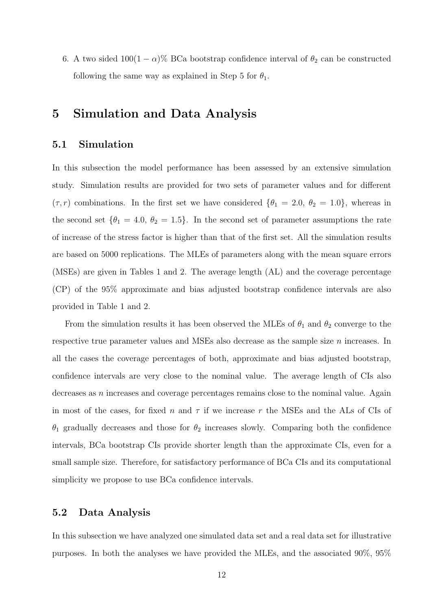6. A two sided  $100(1 - \alpha)$ % BCa bootstrap confidence interval of  $\theta_2$  can be constructed following the same way as explained in Step 5 for  $\theta_1$ .

## 5 Simulation and Data Analysis

### 5.1 Simulation

In this subsection the model performance has been assessed by an extensive simulation study. Simulation results are provided for two sets of parameter values and for different  $(\tau, r)$  combinations. In the first set we have considered  $\{\theta_1 = 2.0, \theta_2 = 1.0\}$ , whereas in the second set  $\{\theta_1 = 4.0, \theta_2 = 1.5\}$ . In the second set of parameter assumptions the rate of increase of the stress factor is higher than that of the first set. All the simulation results are based on 5000 replications. The MLEs of parameters along with the mean square errors (MSEs) are given in Tables 1 and 2. The average length (AL) and the coverage percentage (CP) of the 95% approximate and bias adjusted bootstrap confidence intervals are also provided in Table 1 and 2.

From the simulation results it has been observed the MLEs of  $\theta_1$  and  $\theta_2$  converge to the respective true parameter values and MSEs also decrease as the sample size n increases. In all the cases the coverage percentages of both, approximate and bias adjusted bootstrap, confidence intervals are very close to the nominal value. The average length of CIs also decreases as n increases and coverage percentages remains close to the nominal value. Again in most of the cases, for fixed n and  $\tau$  if we increase r the MSEs and the ALs of CIs of  $\theta_1$  gradually decreases and those for  $\theta_2$  increases slowly. Comparing both the confidence intervals, BCa bootstrap CIs provide shorter length than the approximate CIs, even for a small sample size. Therefore, for satisfactory performance of BCa CIs and its computational simplicity we propose to use BCa confidence intervals.

### 5.2 Data Analysis

In this subsection we have analyzed one simulated data set and a real data set for illustrative purposes. In both the analyses we have provided the MLEs, and the associated 90%, 95%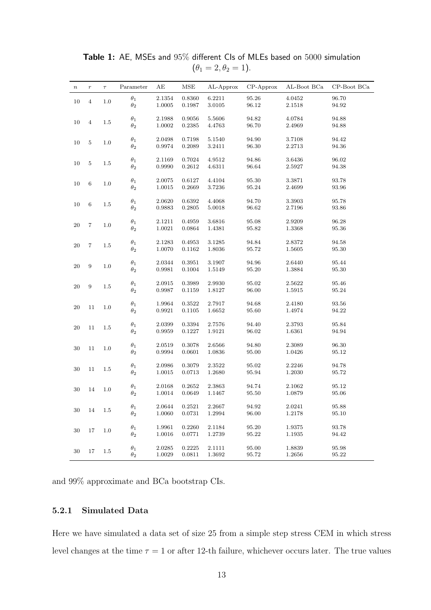| $\, n$ | $\boldsymbol{r}$ | $\tau$  | Parameter                | AE                  | MSE              | AL-Approx            | $CP$ -Approx         | AL-Boot BCa      | CP-Boot BCa        |
|--------|------------------|---------|--------------------------|---------------------|------------------|----------------------|----------------------|------------------|--------------------|
| $10\,$ | $\overline{4}$   | $1.0\,$ | $\theta_1$<br>$\theta_2$ | 2.1354<br>1.0005    | 0.8360<br>0.1987 | 6.2211<br>3.0105     | 95.26<br>$96.12\,$   | 4.0452<br>2.1518 | 96.70<br>94.92     |
| $10\,$ | $\overline{4}$   | $1.5\,$ | $\theta_1$<br>$\theta_2$ | 2.1988<br>1.0002    | 0.9056<br>0.2385 | 5.5606<br>4.4763     | 94.82<br>96.70       | 4.0784<br>2.4969 | 94.88<br>94.88     |
|        |                  |         |                          | 2.0498              | 0.7198           | 5.1540               | 94.90                | 3.7108           | 94.42              |
| 10     | $\bf 5$          | $1.0\,$ | $\theta_1$<br>$\theta_2$ | $\,0.9974\,$        | 0.2089           | 3.2411               | 96.30                | 2.2713           | 94.36              |
| $10\,$ | $\bf 5$          | $1.5\,$ | $\theta_1$               | 2.1169              | 0.7024           | 4.9512               | 94.86                | 3.6436           | 96.02              |
|        |                  |         | $\theta_2$               | 0.9990              | 0.2612           | 4.6311               | 96.64                | 2.5927           | 94.38              |
| $10\,$ | $\,6\,$          | $1.0\,$ | $\theta_1$<br>$\theta_2$ | 2.0075<br>1.0015    | 0.6127<br>0.2669 | 4.4104<br>3.7236     | 95.30<br>95.24       | 3.3871<br>2.4699 | 93.78<br>93.96     |
|        |                  |         |                          |                     |                  |                      |                      |                  |                    |
| $10\,$ | $\,6\,$          | $1.5\,$ | $\theta_1$<br>$\theta_2$ | 2.0620<br>0.9883    | 0.6392<br>0.2805 | 4.4068<br>5.0018     | 94.70<br>96.62       | 3.3903<br>2.7196 | 95.78<br>93.86     |
|        |                  |         | $\theta_1$               | 2.1211              | 0.4959           | 3.6816               | 95.08                | 2.9209           | 96.28              |
| 20     | $\,7$            | $1.0\,$ | $\theta_2$               | 1.0021              | 0.0864           | 1.4381               | $\boldsymbol{95.82}$ | 1.3368           | 95.36              |
| $20\,$ | 7                | $1.5\,$ | $\theta_1$               | 2.1283              | 0.4953           | 3.1285               | 94.84                | 2.8372           | 94.58              |
|        |                  |         | $\theta_2$               | 1.0070              | 0.1162           | 1.8036               | 95.72                | 1.5605           | 95.30              |
| $20\,$ | $\,9$            | $1.0\,$ | $\theta_1$<br>$\theta_2$ | 2.0344<br>0.9981    | 0.3951<br>0.1004 | $3.1907\,$<br>1.5149 | 94.96<br>$95.20\,$   | 2.6440<br>1.3884 | 95.44<br>95.30     |
|        |                  |         |                          |                     |                  |                      |                      |                  |                    |
| $20\,$ | $\,9$            | $1.5\,$ | $\theta_1$<br>$\theta_2$ | 2.0915<br>0.9987    | 0.3989<br>0.1159 | 2.9930<br>1.8127     | 95.02<br>96.00       | 2.5622<br>1.5915 | 95.46<br>$95.24\,$ |
|        |                  |         | $\theta_1$               | 1.9964              | 0.3522           | 2.7917               | 94.68                | 2.4180           | 93.56              |
| 20     | 11               | $1.0\,$ | $\theta_2$               | 0.9921              | 0.1105           | 1.6652               | 95.60                | 1.4974           | $94.22\,$          |
| $20\,$ | 11               | $1.5\,$ | $\theta_1$               | 2.0399              | 0.3394           | 2.7576               | 94.40                | 2.3793           | 95.84              |
|        |                  |         | $\theta_2$               | 0.9959              | 0.1227           | 1.9121               | $96.02\,$            | 1.6361           | 94.94              |
| $30\,$ | 11               | $1.0\,$ | $\theta_1$<br>$\theta_2$ | 2.0519<br>0.9994    | 0.3078<br>0.0601 | 2.6566<br>1.0836     | 94.80<br>95.00       | 2.3089<br>1.0426 | 96.30<br>95.12     |
|        |                  |         |                          |                     |                  |                      |                      |                  |                    |
| 30     | 11               | $1.5\,$ | $\theta_1$<br>$\theta_2$ | 2.0986<br>1.0015    | 0.3079<br>0.0713 | 2.3522<br>1.2680     | 95.02<br>95.94       | 2.2246<br>1.2030 | 94.78<br>95.72     |
|        |                  |         | $\theta_1$               | 2.0168              | 0.2652           | 2.3863               | 94.74                | 2.1062           | 95.12              |
| $30\,$ | 14               | 1.0     | $\theta_2$               | 1.0014              | 0.0649           | 1.1467               | 95.50                | 1.0879           | 95.06              |
| 30     | 14               | $1.5\,$ | $\theta_1$               | $\phantom{-}2.0644$ | $0.2521\,$       | 2.2667               | 94.92                | 2.0241           | 95.88              |
|        |                  |         | $\theta_2$               | 1.0060              | 0.0731           | 1.2994               | 96.00                | 1.2178           | 95.10              |
| 30     | 17               | $1.0\,$ | $\theta_1$<br>$\theta_2$ | 1.9961<br>1.0016    | 0.2260<br>0.0771 | 2.1184<br>1.2739     | 95.20<br>95.22       | 1.9375<br>1.1935 | 93.78<br>94.42     |
|        |                  |         |                          | 2.0285              | 0.2225           | 2.1111               |                      |                  | 95.98              |
| 30     | 17               | $1.5\,$ | $\theta_1$<br>$\theta_2$ | 1.0029              | 0.0811           | 1.3692               | 95.00<br>95.72       | 1.8839<br>1.2656 | 95.22              |

Table 1: AE, MSEs and 95% different CIs of MLEs based on 5000 simulation  $(\theta_1 = 2, \theta_2 = 1).$ 

and 99% approximate and BCa bootstrap CIs.

#### 5.2.1 Simulated Data

Here we have simulated a data set of size 25 from a simple step stress CEM in which stress level changes at the time  $\tau = 1$  or after 12-th failure, whichever occurs later. The true values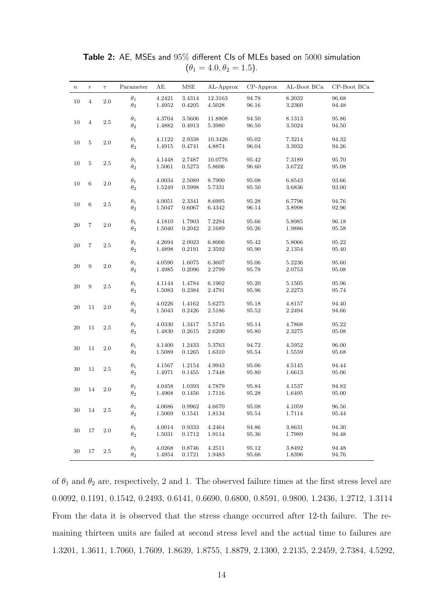| $\, n$ | $\boldsymbol{r}$ | $\tau$  | Parameter                | AE                   | MSE                  | AL-Approx             | $CP$ -Approx                      | AL-Boot BCa      | CP-Boot BCa    |
|--------|------------------|---------|--------------------------|----------------------|----------------------|-----------------------|-----------------------------------|------------------|----------------|
| 10     | $\overline{4}$   | $2.0\,$ | $\theta_1$<br>$\theta_2$ | 4.2421<br>1.4952     | 3.4314<br>0.4205     | 12.3163<br>4.5028     | 94.78<br>96.16                    | 8.2032<br>3.2360 | 96.68<br>94.48 |
| 10     | $\overline{4}$   | $2.5\,$ | $\theta_1$<br>$\theta_2$ | 4.3704<br>1.4882     | 3.5606<br>0.4913     | 11.8808<br>$5.3980\,$ | 94.50<br>$96.50\,$                | 8.1313<br>3.5024 | 95.86<br>94.50 |
| 10     | 5                | $2.0\,$ | $\theta_1$<br>$\theta_2$ | 4.1122<br>1.4915     | 2.9338<br>0.4741     | 10.3426<br>4.8874     | 95.02<br>96.04                    | 7.3214<br>3.3932 | 94.32<br>94.26 |
| 10     | $\bf 5$          | $2.5\,$ | $\theta_1$<br>$\theta_2$ | 4.1448<br>1.5061     | 2.7487<br>0.5273     | 10.0776<br>5.8606     | 95.42<br>96.60                    | 7.3189<br>3.6722 | 95.70<br>95.08 |
| $10\,$ | $\,6\,$          | $2.0\,$ | $\theta_1$<br>$\theta_2$ | 4.0034<br>1.5249     | 2.5089<br>0.5998     | 8.7900<br>$5.7331\,$  | 95.08<br>95.50                    | 6.8543<br>3.6836 | 93.66<br>93.00 |
| $10\,$ | $\,6\,$          | $2.5\,$ | $\theta_1$<br>$\theta_2$ | $4.0051\,$<br>1.5047 | 2.3341<br>0.6067     | 8.6995<br>6.4342      | $95.28\,$<br>96.14                | 6.7796<br>3.8998 | 94.76<br>92.96 |
| 20     | 7                | 2.0     | $\theta_1$<br>$\theta_2$ | 4.1810<br>1.5040     | 1.7903<br>0.2042     | 7.2294<br>2.1689      | 95.66<br>95.26                    | 5.8985<br>1.9886 | 96.18<br>95.58 |
| $20\,$ | $\,7$            | $2.5\,$ | $\theta_1$<br>$\theta_2$ | 4.2694<br>1.4898     | 2.0023<br>0.2191     | 6.8006<br>2.3592      | 95.42<br>95.90                    | 5.8066<br>2.1354 | 95.22<br>95.40 |
| $20\,$ | $\boldsymbol{9}$ | $2.0\,$ | $\theta_1$<br>$\theta_2$ | 4.0590<br>1.4985     | 1.6075<br>0.2096     | 6.3607<br>2.2799      | 95.06<br>95.78                    | 5.2236<br>2.0753 | 95.60<br>95.08 |
| $20\,$ | $\boldsymbol{9}$ | $2.5\,$ | $\theta_1$<br>$\theta_2$ | 4.1144<br>1.5083     | 1.4784<br>0.2384     | 6.1902<br>2.4791      | 95.20<br>95.96                    | 5.1505<br>2.2273 | 95.96<br>95.74 |
| $20\,$ | 11               | $2.0\,$ | $\theta_1$<br>$\theta_2$ | 4.0226<br>1.5043     | 1.4162<br>0.2426     | $5.6275\,$<br>2.5186  | $95.18\,$<br>$95.52\,$            | 4.8157<br>2.2494 | 94.40<br>94.66 |
| $20\,$ | 11               | 2.5     | $\theta_1$<br>$\theta_2$ | 4.0330<br>1.4830     | 1.3417<br>0.2615     | 5.5745<br>2.6200      | 95.14<br>95.80                    | 4.7868<br>2.3275 | 95.22<br>95.08 |
| $30\,$ | 11               | $2.0\,$ | $\theta_1$               | 4.1400               | 1.2433               | 5.3763                | 94.72                             | 4.5952           | 96.00<br>95.68 |
| 30     | 11               | 2.5     | $\theta_2$<br>$\theta_1$ | 1.5089<br>4.1567     | 0.1265<br>1.2154     | 1.6310<br>4.9943      | $\boldsymbol{95.54}$<br>$95.06\,$ | 1.5559<br>4.5145 | 94.44          |
| $30\,$ | 14               | $2.0\,$ | $\theta_2$<br>$\theta_1$ | 1.4971<br>4.0458     | $0.1455\,$<br>1.0393 | 1.7448<br>4.7879      | $\boldsymbol{95.80}$<br>95.84     | 1.6613<br>4.1537 | 95.06<br>94.82 |
| 30     | 14               | $2.5\,$ | $\theta_2$<br>$\theta_1$ | 1.4968<br>$4.0686\,$ | 0.1456<br>0.9962     | 1.7116<br>4.6670      | 95.28<br>95.08                    | 1.6495<br>4.1059 | 95.00<br>96.56 |
|        | 17               | $2.0\,$ | $\theta_2$<br>$\theta_1$ | 1.5069<br>$4.0014\,$ | 0.1541<br>${0.9333}$ | 1.8134<br>4.2464      | 95.54<br>94.86                    | 1.7114<br>3.8631 | 95.44<br>94.30 |
| 30     |                  |         | $\theta_2$<br>$\theta_1$ | 1.5031<br>4.0268     | 0.1712<br>0.8746     | 1.9114<br>4.2511      | 95.36<br>95.12                    | 1.7989<br>3.8492 | 94.48<br>94.48 |
| 30     | 17               | 2.5     | $\theta_2$               | $1.4954\,$           | 0.1721               | 1.9483                | 95.66                             | 1.8396           | 94.76          |

Table 2: AE, MSEs and 95% different CIs of MLEs based on 5000 simulation  $(\theta_1 = 4.0, \theta_2 = 1.5).$ 

of  $\theta_1$  and  $\theta_2$  are, respectively, 2 and 1. The observed failure times at the first stress level are 0.0092, 0.1191, 0.1542, 0.2493, 0.6141, 0.6690, 0.6800, 0.8591, 0.9800, 1.2436, 1.2712, 1.3114 From the data it is observed that the stress change occurred after 12-th failure. The remaining thirteen units are failed at second stress level and the actual time to failures are 1.3201, 1.3611, 1.7060, 1.7609, 1.8639, 1.8755, 1.8879, 2.1300, 2.2135, 2.2459, 2.7384, 4.5292,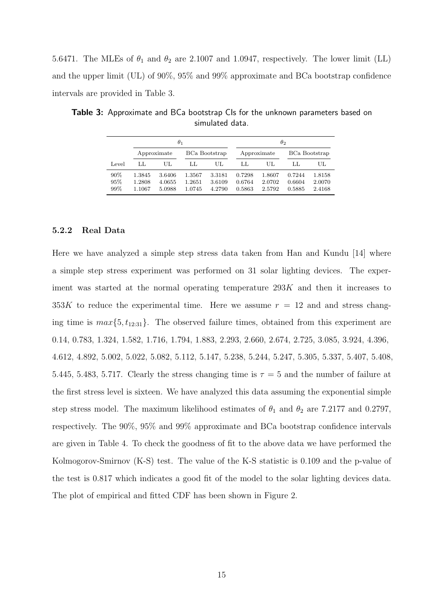5.6471. The MLEs of  $\theta_1$  and  $\theta_2$  are 2.1007 and 1.0947, respectively. The lower limit (LL) and the upper limit (UL) of 90%, 95% and 99% approximate and BCa bootstrap confidence intervals are provided in Table 3.

|                   |                            | $\theta_1$                 |                            |                            |                            | $\theta_2$                 |                            |                            |  |  |
|-------------------|----------------------------|----------------------------|----------------------------|----------------------------|----------------------------|----------------------------|----------------------------|----------------------------|--|--|
|                   |                            | Approximate                |                            | BCa Bootstrap              |                            | Approximate                |                            | <b>BCa Bootstrap</b>       |  |  |
| Level             | LL.                        | UL.                        | LL.                        | UL.                        | LL.                        | UL.                        | LL.                        | UL.                        |  |  |
| 90%<br>95%<br>99% | 1.3845<br>1.2808<br>1.1067 | 3.6406<br>4.0655<br>5.0988 | 1.3567<br>1.2651<br>1.0745 | 3.3181<br>3.6109<br>4.2790 | 0.7298<br>0.6764<br>0.5863 | 1.8607<br>2.0702<br>2.5792 | 0.7244<br>0.6604<br>0.5885 | 1.8158<br>2.0070<br>2.4168 |  |  |

Table 3: Approximate and BCa bootstrap CIs for the unknown parameters based on simulated data.

#### 5.2.2 Real Data

Here we have analyzed a simple step stress data taken from Han and Kundu [14] where a simple step stress experiment was performed on 31 solar lighting devices. The experiment was started at the normal operating temperature  $293K$  and then it increases to  $353K$  to reduce the experimental time. Here we assume  $r = 12$  and and stress changing time is  $max{5, t_{12:31}}$ . The observed failure times, obtained from this experiment are 0.14, 0.783, 1.324, 1.582, 1.716, 1.794, 1.883, 2.293, 2.660, 2.674, 2.725, 3.085, 3.924, 4.396, 4.612, 4.892, 5.002, 5.022, 5.082, 5.112, 5.147, 5.238, 5.244, 5.247, 5.305, 5.337, 5.407, 5.408, 5.445, 5.483, 5.717. Clearly the stress changing time is  $\tau = 5$  and the number of failure at the first stress level is sixteen. We have analyzed this data assuming the exponential simple step stress model. The maximum likelihood estimates of  $\theta_1$  and  $\theta_2$  are 7.2177 and 0.2797, respectively. The 90%, 95% and 99% approximate and BCa bootstrap confidence intervals are given in Table 4. To check the goodness of fit to the above data we have performed the Kolmogorov-Smirnov (K-S) test. The value of the K-S statistic is 0.109 and the p-value of the test is 0.817 which indicates a good fit of the model to the solar lighting devices data. The plot of empirical and fitted CDF has been shown in Figure 2.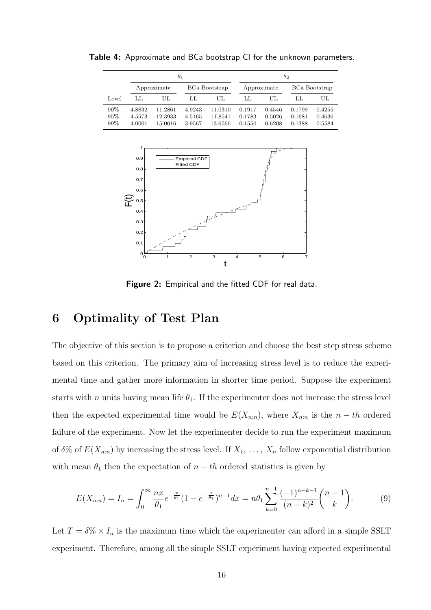Table 4: Approximate and BCa bootstrap CI for the unknown parameters.

|       |             | $\theta_1$ |                      | $\theta_2$ |             |        |                      |        |
|-------|-------------|------------|----------------------|------------|-------------|--------|----------------------|--------|
|       | Approximate |            | <b>BCa Bootstrap</b> |            | Approximate |        | <b>BCa Bootstrap</b> |        |
| Level | LL.         | UL.        | LL.                  | UL.        | LL.         | UL     | LL.                  | UL.    |
| 90%   | 4.8832      | 11.2861    | 4.9243               | 11.0310    | 0.1917      | 0.4546 | 0.1799               | 0.4255 |
| 95%   | 4.5573      | 12.3933    | 4.5165               | 11.8541    | 0.1783      | 0.5026 | 0.1681               | 0.4636 |
| 99%   | 4.0001      | 15.0016    | 3.9567               | 13.6566    | 0.1550      | 0.6208 | 0.1388               | 0.5584 |



Figure 2: Empirical and the fitted CDF for real data.

## 6 Optimality of Test Plan

The objective of this section is to propose a criterion and choose the best step stress scheme based on this criterion. The primary aim of increasing stress level is to reduce the experimental time and gather more information in shorter time period. Suppose the experiment starts with n units having mean life  $\theta_1$ . If the experimenter does not increase the stress level then the expected experimental time would be  $E(X_{n:n})$ , where  $X_{n:n}$  is the  $n-th$  ordered failure of the experiment. Now let the experimenter decide to run the experiment maximum of  $\delta\%$  of  $E(X_{n:n})$  by increasing the stress level. If  $X_1, \ldots, X_n$  follow exponential distribution with mean  $\theta_1$  then the expectation of  $n - th$  ordered statistics is given by

$$
E(X_{n:n}) = I_n = \int_0^\infty \frac{n x}{\theta_1} e^{-\frac{x}{\theta_1}} (1 - e^{-\frac{x}{\theta_1}})^{n-1} dx = n\theta_1 \sum_{k=0}^{n-1} \frac{(-1)^{n-k-1}}{(n-k)^2} {n-1 \choose k}.
$$
 (9)

Let  $T = \delta\% \times I_n$  is the maximum time which the experimenter can afford in a simple SSLT experiment. Therefore, among all the simple SSLT experiment having expected experimental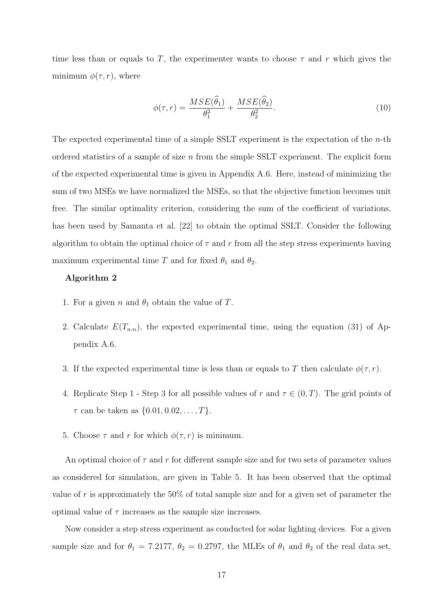time less than or equals to T, the experimenter wants to choose  $\tau$  and r which gives the minimum  $\phi(\tau, r)$ , where

$$
\phi(\tau, r) = \frac{MSE(\widehat{\theta}_1)}{\theta_1^2} + \frac{MSE(\widehat{\theta}_2)}{\theta_2^2}.
$$
\n(10)

The expected experimental time of a simple SSLT experiment is the expectation of the n-th ordered statistics of a sample of size  $n$  from the simple SSLT experiment. The explicit form of the expected experimental time is given in Appendix A.6. Here, instead of minimizing the sum of two MSEs we have normalized the MSEs, so that the objective function becomes unit free. The similar optimality criterion, considering the sum of the coefficient of variations, has been used by Samanta et al. [22] to obtain the optimal SSLT. Consider the following algorithm to obtain the optimal choice of  $\tau$  and  $r$  from all the step stress experiments having maximum experimental time T and for fixed  $\theta_1$  and  $\theta_2$ .

#### Algorithm 2

- 1. For a given n and  $\theta_1$  obtain the value of T.
- 2. Calculate  $E(T_{n:n})$ , the expected experimental time, using the equation (31) of Appendix A.6.
- 3. If the expected experimental time is less than or equals to T then calculate  $\phi(\tau, r)$ .
- 4. Replicate Step 1 Step 3 for all possible values of r and  $\tau \in (0, T)$ . The grid points of  $\tau$  can be taken as  $\{0.01, 0.02, ..., T\}.$
- 5. Choose  $\tau$  and r for which  $\phi(\tau, r)$  is minimum.

An optimal choice of  $\tau$  and r for different sample size and for two sets of parameter values as considered for simulation, are given in Table 5. It has been observed that the optimal value of r is approximately the  $50\%$  of total sample size and for a given set of parameter the optimal value of  $\tau$  increases as the sample size increases.

Now consider a step stress experiment as conducted for solar lighting devices. For a given sample size and for  $\theta_1 = 7.2177$ ,  $\theta_2 = 0.2797$ , the MLEs of  $\theta_1$  and  $\theta_2$  of the real data set,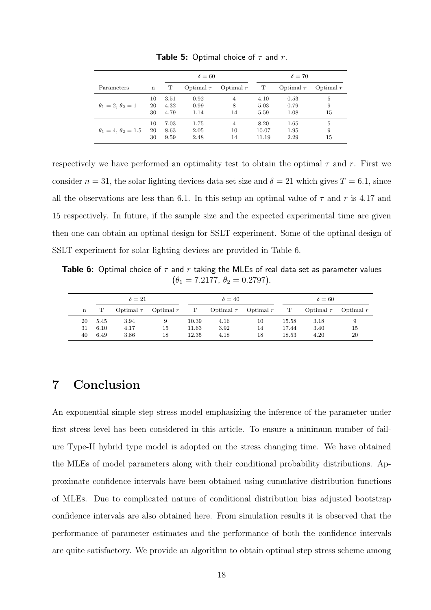|                                |             |      | $\delta = 60$  |             |       | $\delta = 70$  |             |  |  |
|--------------------------------|-------------|------|----------------|-------------|-------|----------------|-------------|--|--|
| Parameters                     | $\mathbf n$ | Т    | Optimal $\tau$ | Optimal $r$ | Т     | Optimal $\tau$ | Optimal $r$ |  |  |
| $\theta_1=2, \theta_2=1$       | 10          | 3.51 | 0.92           | 4           | 4.10  | 0.53           | 5           |  |  |
|                                | 20          | 4.32 | 0.99           | 8           | 5.03  | 0.79           | 9           |  |  |
|                                | 30          | 4.79 | 1.14           | 14          | 5.59  | 1.08           | 15          |  |  |
| $\theta_1 = 4, \theta_2 = 1.5$ | 10          | 7.03 | 1.75           | 4           | 8.20  | 1.65           | 5           |  |  |
|                                | 20          | 8.63 | 2.05           | 10          | 10.07 | 1.95           | 9           |  |  |
|                                | 30          | 9.59 | 2.48           | 14          | 11.19 | 2.29           | 15          |  |  |

**Table 5:** Optimal choice of  $\tau$  and  $r$ .

respectively we have performed an optimality test to obtain the optimal  $\tau$  and r. First we consider  $n = 31$ , the solar lighting devices data set size and  $\delta = 21$  which gives  $T = 6.1$ , since all the observations are less than 6.1. In this setup an optimal value of  $\tau$  and r is 4.17 and 15 respectively. In future, if the sample size and the expected experimental time are given then one can obtain an optimal design for SSLT experiment. Some of the optimal design of SSLT experiment for solar lighting devices are provided in Table 6.

**Table 6:** Optimal choice of  $\tau$  and  $r$  taking the MLEs of real data set as parameter values  $(\theta_1 = 7.2177, \theta_2 = 0.2797).$ 

|    |      | $\delta = 21$            |    | $\delta = 40$ |      |                            | $\delta = 60$ |                          |    |
|----|------|--------------------------|----|---------------|------|----------------------------|---------------|--------------------------|----|
| n  |      | Optimal $\tau$ Optimal r |    | T             |      | Optimal $\tau$ Optimal $r$ | $\mathbf{T}$  | Optimal $\tau$ Optimal r |    |
| 20 | 5.45 | 3.94                     |    | 10.39         | 4.16 | 10                         | 15.58         | 3.18                     | 9  |
| 31 | 6.10 | 4.17                     | 15 | 11.63         | 3.92 | 14                         | 17.44         | 3.40                     | 15 |
| 40 | 6.49 | 3.86                     | 18 | 12.35         | 4.18 | 18                         | 18.53         | 4.20                     | 20 |

## 7 Conclusion

An exponential simple step stress model emphasizing the inference of the parameter under first stress level has been considered in this article. To ensure a minimum number of failure Type-II hybrid type model is adopted on the stress changing time. We have obtained the MLEs of model parameters along with their conditional probability distributions. Approximate confidence intervals have been obtained using cumulative distribution functions of MLEs. Due to complicated nature of conditional distribution bias adjusted bootstrap confidence intervals are also obtained here. From simulation results it is observed that the performance of parameter estimates and the performance of both the confidence intervals are quite satisfactory. We provide an algorithm to obtain optimal step stress scheme among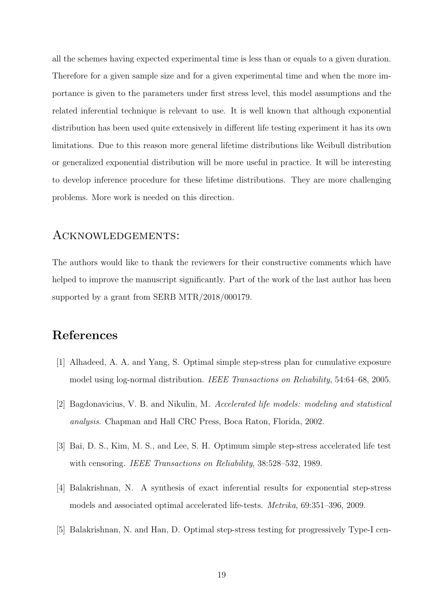all the schemes having expected experimental time is less than or equals to a given duration. Therefore for a given sample size and for a given experimental time and when the more importance is given to the parameters under first stress level, this model assumptions and the related inferential technique is relevant to use. It is well known that although exponential distribution has been used quite extensively in different life testing experiment it has its own limitations. Due to this reason more general lifetime distributions like Weibull distribution or generalized exponential distribution will be more useful in practice. It will be interesting to develop inference procedure for these lifetime distributions. They are more challenging problems. More work is needed on this direction.

### Acknowledgements:

The authors would like to thank the reviewers for their constructive comments which have helped to improve the manuscript significantly. Part of the work of the last author has been supported by a grant from SERB MTR/2018/000179.

## References

- [1] Alhadeed, A. A. and Yang, S. Optimal simple step-stress plan for cumulative exposure model using log-normal distribution. *IEEE Transactions on Reliability*, 54:64–68, 2005.
- [2] Bagdonavicius, V. B. and Nikulin, M. *Accelerated life models: modeling and statistical analysis*. Chapman and Hall CRC Press, Boca Raton, Florida, 2002.
- [3] Bai, D. S., Kim, M. S., and Lee, S. H. Optimum simple step-stress accelerated life test with censoring. *IEEE Transactions on Reliability*, 38:528–532, 1989.
- [4] Balakrishnan, N. A synthesis of exact inferential results for exponential step-stress models and associated optimal accelerated life-tests. *Metrika*, 69:351–396, 2009.
- [5] Balakrishnan, N. and Han, D. Optimal step-stress testing for progressively Type-I cen-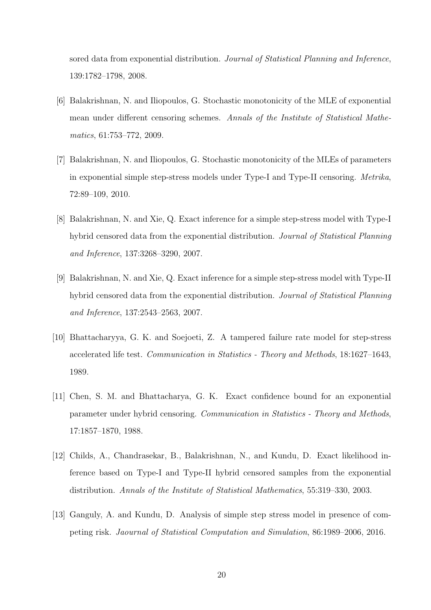sored data from exponential distribution. *Journal of Statistical Planning and Inference*, 139:1782–1798, 2008.

- [6] Balakrishnan, N. and Iliopoulos, G. Stochastic monotonicity of the MLE of exponential mean under different censoring schemes. *Annals of the Institute of Statistical Mathematics*, 61:753–772, 2009.
- [7] Balakrishnan, N. and Iliopoulos, G. Stochastic monotonicity of the MLEs of parameters in exponential simple step-stress models under Type-I and Type-II censoring. *Metrika*, 72:89–109, 2010.
- [8] Balakrishnan, N. and Xie, Q. Exact inference for a simple step-stress model with Type-I hybrid censored data from the exponential distribution. *Journal of Statistical Planning and Inference*, 137:3268–3290, 2007.
- [9] Balakrishnan, N. and Xie, Q. Exact inference for a simple step-stress model with Type-II hybrid censored data from the exponential distribution. *Journal of Statistical Planning and Inference*, 137:2543–2563, 2007.
- [10] Bhattacharyya, G. K. and Soejoeti, Z. A tampered failure rate model for step-stress accelerated life test. *Communication in Statistics - Theory and Methods*, 18:1627–1643, 1989.
- [11] Chen, S. M. and Bhattacharya, G. K. Exact confidence bound for an exponential parameter under hybrid censoring. *Communication in Statistics - Theory and Methods*, 17:1857–1870, 1988.
- [12] Childs, A., Chandrasekar, B., Balakrishnan, N., and Kundu, D. Exact likelihood inference based on Type-I and Type-II hybrid censored samples from the exponential distribution. *Annals of the Institute of Statistical Mathematics*, 55:319–330, 2003.
- [13] Ganguly, A. and Kundu, D. Analysis of simple step stress model in presence of competing risk. *Jaournal of Statistical Computation and Simulation*, 86:1989–2006, 2016.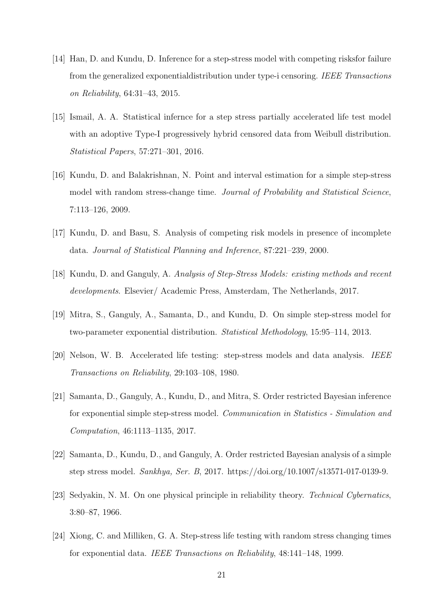- [14] Han, D. and Kundu, D. Inference for a step-stress model with competing risksfor failure from the generalized exponentialdistribution under type-i censoring. *IEEE Transactions on Reliability*, 64:31–43, 2015.
- [15] Ismail, A. A. Statistical infernce for a step stress partially accelerated life test model with an adoptive Type-I progressively hybrid censored data from Weibull distribution. *Statistical Papers*, 57:271–301, 2016.
- [16] Kundu, D. and Balakrishnan, N. Point and interval estimation for a simple step-stress model with random stress-change time. *Journal of Probability and Statistical Science*, 7:113–126, 2009.
- [17] Kundu, D. and Basu, S. Analysis of competing risk models in presence of incomplete data. *Journal of Statistical Planning and Inference*, 87:221–239, 2000.
- [18] Kundu, D. and Ganguly, A. *Analysis of Step-Stress Models: existing methods and recent developments*. Elsevier/ Academic Press, Amsterdam, The Netherlands, 2017.
- [19] Mitra, S., Ganguly, A., Samanta, D., and Kundu, D. On simple step-stress model for two-parameter exponential distribution. *Statistical Methodology*, 15:95–114, 2013.
- [20] Nelson, W. B. Accelerated life testing: step-stress models and data analysis. *IEEE Transactions on Reliability*, 29:103–108, 1980.
- [21] Samanta, D., Ganguly, A., Kundu, D., and Mitra, S. Order restricted Bayesian inference for exponential simple step-stress model. *Communication in Statistics - Simulation and Computation*, 46:1113–1135, 2017.
- [22] Samanta, D., Kundu, D., and Ganguly, A. Order restricted Bayesian analysis of a simple step stress model. *Sankhya, Ser. B*, 2017. https://doi.org/10.1007/s13571-017-0139-9.
- [23] Sedyakin, N. M. On one physical principle in reliability theory. *Technical Cybernatics*, 3:80–87, 1966.
- [24] Xiong, C. and Milliken, G. A. Step-stress life testing with random stress changing times for exponential data. *IEEE Transactions on Reliability*, 48:141–148, 1999.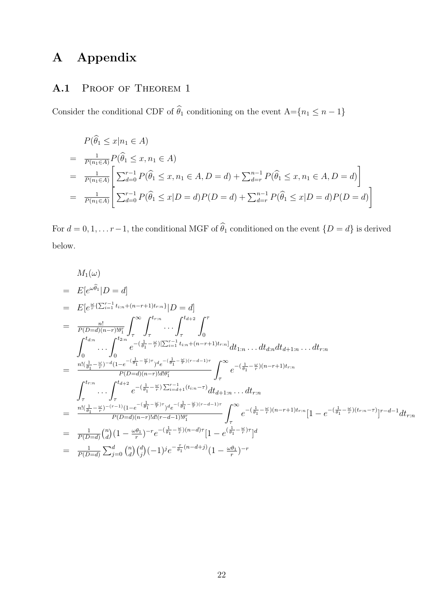# A Appendix

## A.1 PROOF OF THEOREM 1

Consider the conditional CDF of  $\hat{\theta}_1$  conditioning on the event A={ $n_1 \leq n-1$ }

$$
P(\hat{\theta}_{1} \leq x | n_{1} \in A)
$$
  
=  $\frac{1}{P(n_{1} \in A)} P(\hat{\theta}_{1} \leq x, n_{1} \in A)$   
=  $\frac{1}{P(n_{1} \in A)} \left[ \sum_{d=0}^{r-1} P(\hat{\theta}_{1} \leq x, n_{1} \in A, D = d) + \sum_{d=r}^{n-1} P(\hat{\theta}_{1} \leq x, n_{1} \in A, D = d) \right]$   
=  $\frac{1}{P(n_{1} \in A)} \left[ \sum_{d=0}^{r-1} P(\hat{\theta}_{1} \leq x | D = d) P(D = d) + \sum_{d=r}^{n-1} P(\hat{\theta}_{1} \leq x | D = d) P(D = d) \right]$ 

For  $d = 0, 1, \ldots r-1$ , the conditional MGF of  $\hat{\theta}_1$  conditioned on the event  $\{D = d\}$  is derived below.

$$
M_{1}(\omega)
$$
\n
$$
= E[e^{\omega\hat{\theta}_{1}}|D = d]
$$
\n
$$
= E[e^{\frac{\omega}{r}\left\{\sum_{i=1}^{r-1}t_{i:n}+(n-r+1)t_{r:n}\right\}}|\mathbf{D} = d]
$$
\n
$$
= \frac{n!}{P(D=d)(n-r)! \theta_{1}^{r}} \int_{\tau}^{\infty} \int_{\tau}^{t_{r:n}} \cdots \int_{\tau}^{t_{d+2}} \int_{0}^{\tau}
$$
\n
$$
\int_{0}^{t_{d:n}} \cdots \int_{0}^{t_{2:n}} e^{-\left(\frac{1}{\theta_{1}}-\frac{\omega}{r}\right)\left\{\sum_{i=1}^{r-1}t_{i:n}+(n-r+1)t_{r:n}\right\}} dt_{1:n} \cdots dt_{d,n} dt_{d+1:n} \cdots dt_{r:n}
$$
\n
$$
= \frac{n!(\frac{1}{\theta_{1}}-\frac{\omega}{r})^{-d}(1-e^{-(\frac{1}{\theta_{1}}-\frac{\omega}{r})r})^{d}e^{-(\frac{1}{\theta_{1}}-\frac{\omega}{r})(r-d-1)\tau}}{P(D=d)(n-r)!d! \theta_{1}^{r}} \int_{\tau}^{\infty} e^{-\left(\frac{1}{\theta_{1}}-\frac{\omega}{r}\right)(n-r+1)t_{r:n}}
$$
\n
$$
= \frac{\int_{\tau}^{t_{r:n}} \cdots \int_{\tau}^{t_{d+2}} e^{-\left(\frac{1}{\theta_{1}}-\frac{\omega}{r}\right)\sum_{i=d+1}^{r-1}(t_{i:n}-\tau)} dt_{d+1:n} \cdots dt_{r:n}}{P(D=d)(n-r)!d!(r-d-1)! \theta_{1}^{r}} \int_{\tau}^{\infty} e^{-\left(\frac{1}{\theta_{1}}-\frac{\omega}{r}\right)(n-r+1)t_{r:n}} [1-e^{-\left(\frac{1}{\theta_{1}}-\frac{\omega}{r}\right)(t_{r:n}-\tau)}]^{r-d-1} dt_{r:n}
$$
\n
$$
= \frac{n!(\frac{1}{\theta_{1}}-\frac{\omega}{r})^{-(r-1)}(1-e^{-(\frac{1}{\theta_{1}}-\frac{\omega}{r})(r-d-1)! \theta_{1}^{r}}}{P(D=d)(n-r)!d!(r-d-1)! \theta_{1}^{r}} \int_{\tau}^{\infty} e^{-\left(\frac{
$$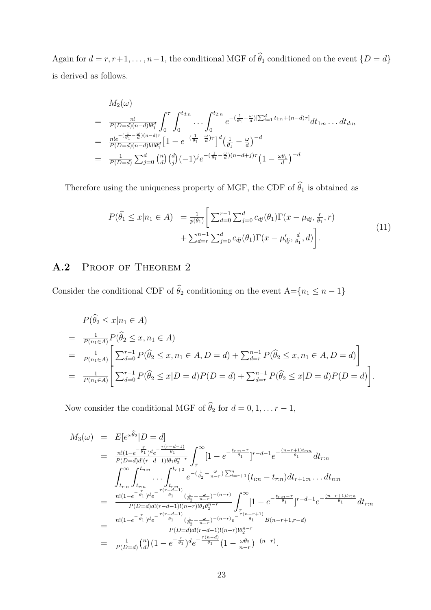Again for  $d = r, r+1, \ldots, n-1$ , the conditional MGF of  $\hat{\theta}_1$  conditioned on the event  $\{D = d\}$ is derived as follows.

$$
M_2(\omega)
$$
\n
$$
= \frac{n!}{P(D=d)(n-d)! \theta_1^d} \int_0^{\tau} \int_0^{t_{d;n}} \cdots \int_0^{t_{2:n}} e^{-\left(\frac{1}{\theta_1} - \frac{\omega}{d}\right) [\sum_{i=1}^d t_{i:n} + (n-d)\tau]} dt_{1:n} \cdots dt_{d:n}
$$
\n
$$
= \frac{n! e^{-(\frac{1}{\theta_1} - \frac{\omega}{d})(n-d)\tau}}{P(D=d)(n-d)! d! \theta_1^d} \left[1 - e^{-(\frac{1}{\theta_1} - \frac{\omega}{d})\tau}\right]^d \left(\frac{1}{\theta_1} - \frac{\omega}{d}\right)^{-d}
$$
\n
$$
= \frac{1}{P(D=d)} \sum_{j=0}^d {n \choose d} {d \choose j} (-1)^j e^{-(\frac{1}{\theta_1} - \frac{\omega}{d})(n-d+j)\tau} \left(1 - \frac{\omega \theta_1}{d}\right)^{-d}
$$

Therefore using the uniqueness property of MGF, the CDF of  $\widehat{\theta}_1$  is obtained as

$$
P(\hat{\theta}_1 \le x | n_1 \in A) = \frac{1}{p(\theta_1)} \left[ \sum_{d=0}^{r-1} \sum_{j=0}^d c_{dj}(\theta_1) \Gamma(x - \mu_{dj}, \frac{r}{\theta_1}, r) + \sum_{d=r}^{n-1} \sum_{j=0}^d c_{dj}(\theta_1) \Gamma(x - \mu_{dj}', \frac{d}{\theta_1}, d) \right].
$$
\n(11)

### A.2 PROOF OF THEOREM 2

Consider the conditional CDF of  $\hat{\theta}_2$  conditioning on the event A={ $n_1 \leq n-1$ }

$$
P(\widehat{\theta}_{2} \leq x | n_{1} \in A)
$$
  
=  $\frac{1}{P(n_{1} \in A)} P(\widehat{\theta}_{2} \leq x, n_{1} \in A)$   
=  $\frac{1}{P(n_{1} \in A)} \left[ \sum_{d=0}^{r-1} P(\widehat{\theta}_{2} \leq x, n_{1} \in A, D = d) + \sum_{d=r}^{n-1} P(\widehat{\theta}_{2} \leq x, n_{1} \in A, D = d) \right]$   
=  $\frac{1}{P(n_{1} \in A)} \left[ \sum_{d=0}^{r-1} P(\widehat{\theta}_{2} \leq x | D = d) P(D = d) + \sum_{d=r}^{n-1} P(\widehat{\theta}_{2} \leq x | D = d) P(D = d) \right].$ 

Now consider the conditional MGF of  $\widehat{\theta}_2$  for  $d = 0, 1, \ldots r - 1$ ,

$$
M_{3}(\omega) = E[e^{\omega \hat{\theta}_{2}}|D = d]
$$
\n
$$
= \frac{n!(1-e^{-\frac{\tau}{\hat{\theta}_{1}}})e^{-\frac{r(r-d-1)}{\hat{\theta}_{1}}}}{P(D=d)d!(r-d-1)!\theta_{1}\theta_{2}^{n-r}} \int_{\tau}^{\infty} [1 - e^{-\frac{t_{r:n}-\tau}{\hat{\theta}_{1}}} ]^{r-d-1} e^{-\frac{(n-r+1)t_{r:n}}{\hat{\theta}_{1}}} dt_{r:n}
$$
\n
$$
\int_{t_{r:n}}^{\infty} \int_{t_{r:n}}^{t_{n:n}} \dots \int_{t_{r:n}}^{t_{r+2}} e^{-\left(\frac{1}{\hat{\theta}_{2}} - \frac{\omega}{n-r}\right) \sum_{i=r+1}^{n}} (t_{i:n} - t_{r:n}) dt_{r+1:n} \dots dt_{n:n}
$$
\n
$$
= \frac{n!(1-e^{-\frac{\tau}{\hat{\theta}_{1}}})e^{-\frac{r(r-d-1)}{\hat{\theta}_{1}}} \frac{1}{(\frac{1}{\hat{\theta}_{2}} - \frac{\omega}{n-r})^{-(n-r)}}}{P(D=d)d!(r-d-1)!(n-r)!\theta_{1}\theta_{2}^{n-r}} \int_{\tau}^{\infty} [1 - e^{-\frac{t_{r:n}-\tau}{\hat{\theta}_{1}}} ]^{r-d-1} e^{-\frac{(n-r+1)t_{r:n}}{\hat{\theta}_{1}}} dt_{r:n}
$$
\n
$$
= \frac{n!(1-e^{-\frac{\tau}{\hat{\theta}_{1}}})e^{-\frac{r(r-d-1)}{\hat{\theta}_{1}}} \frac{1}{(\frac{1}{\hat{\theta}_{2}} - \frac{\omega}{n-r})^{-(n-r)}e^{-\frac{r(n-r+1)}{\hat{\theta}_{1}}} B(n-r+1,r-d)}}{P(D=d)d!(r-d-1)!(n-r)!\theta_{2}^{n-r}}
$$
\n
$$
= \frac{1}{P(D=d)} {n \choose d} (1 - e^{-\frac{\tau}{\hat{\theta}_{1}}} )^d e^{-\frac{r(n-d)}{\hat{\theta}_{1}}} (1 - \frac{\omega \theta_{2}}{n-r})^{-(n-r)}.
$$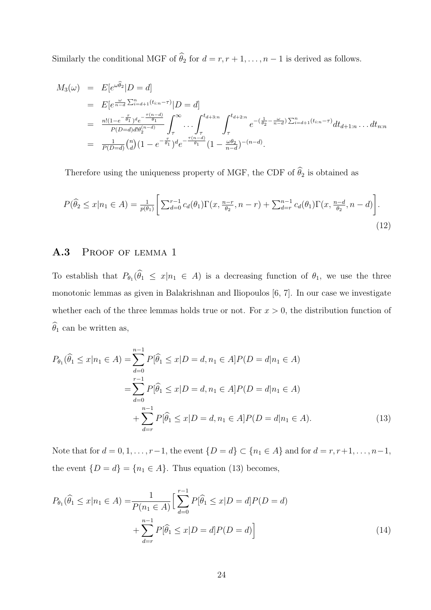Similarly the conditional MGF of  $\hat{\theta}_2$  for  $d = r, r + 1, \ldots, n - 1$  is derived as follows.

$$
M_3(\omega) = E[e^{\omega \hat{\theta}_2} | D = d]
$$
  
\n
$$
= E[e^{\frac{\omega}{n-d} \sum_{i=d+1}^n (t_{i:n} - \tau)} | D = d]
$$
  
\n
$$
= \frac{n!(1 - e^{-\frac{\tau}{\theta_1}})^d e^{-\frac{\tau(n-d)}{\theta_1}}}{P(D = d) d! \theta_2^{(n-d)}} \int_{\tau}^{\infty} \dots \int_{\tau}^{t_{d+3:n}} \int_{\tau}^{t_{d+2:n}} e^{-\left(\frac{1}{\theta_2} - \frac{\omega}{n-d}\right) \sum_{i=d+1}^n (t_{i:n} - \tau)} dt_{d+1:n} \dots dt_{n:n}
$$
  
\n
$$
= \frac{1}{P(D = d)} {n \choose d} (1 - e^{-\frac{\tau}{\theta_1}})^d e^{-\frac{\tau(n-d)}{\theta_1}} (1 - \frac{\omega \theta_2}{n-d})^{-(n-d)}.
$$

Therefore using the uniqueness property of MGF, the CDF of  $\widehat{\theta}_2$  is obtained as

$$
P(\widehat{\theta}_2 \le x | n_1 \in A) = \frac{1}{p(\theta_1)} \Bigg[ \sum_{d=0}^{r-1} c_d(\theta_1) \Gamma(x, \frac{n-r}{\theta_2}, n-r) + \sum_{d=r}^{n-1} c_d(\theta_1) \Gamma(x, \frac{n-d}{\theta_2}, n-d) \Bigg].
$$
\n(12)

### A.3 PROOF OF LEMMA 1

To establish that  $P_{\theta_1}(\theta_1 \leq x | n_1 \in A)$  is a decreasing function of  $\theta_1$ , we use the three monotonic lemmas as given in Balakrishnan and Iliopoulos [6, 7]. In our case we investigate whether each of the three lemmas holds true or not. For  $x > 0$ , the distribution function of  $\widehat{\theta}_1$  can be written as,

$$
P_{\theta_1}(\hat{\theta}_1 \le x | n_1 \in A) = \sum_{d=0}^{n-1} P[\hat{\theta}_1 \le x | D = d, n_1 \in A] P(D = d | n_1 \in A)
$$
  
= 
$$
\sum_{d=0}^{r-1} P[\hat{\theta}_1 \le x | D = d, n_1 \in A] P(D = d | n_1 \in A)
$$
  
+ 
$$
\sum_{d=r}^{n-1} P[\hat{\theta}_1 \le x | D = d, n_1 \in A] P(D = d | n_1 \in A).
$$
 (13)

Note that for  $d = 0, 1, \ldots, r-1$ , the event  $\{D = d\} \subset \{n_1 \in A\}$  and for  $d = r, r+1, \ldots, n-1$ , the event  $\{D = d\} = \{n_1 \in A\}$ . Thus equation (13) becomes,

$$
P_{\theta_1}(\hat{\theta}_1 \le x | n_1 \in A) = \frac{1}{P(n_1 \in A)} \Big[ \sum_{d=0}^{r-1} P[\hat{\theta}_1 \le x | D = d] P(D = d) + \sum_{d=r}^{n-1} P[\hat{\theta}_1 \le x | D = d] P(D = d) \Big]
$$
\n(14)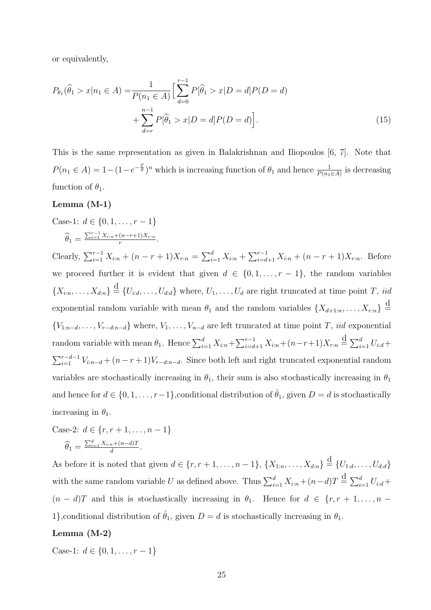or equivalently,

$$
P_{\theta_1}(\hat{\theta}_1 > x | n_1 \in A) = \frac{1}{P(n_1 \in A)} \Big[ \sum_{d=0}^{r-1} P[\hat{\theta}_1 > x | D = d] P(D = d) + \sum_{d=r}^{n-1} P[\hat{\theta}_1 > x | D = d] P(D = d) \Big]. \tag{15}
$$

This is the same representation as given in Balakrishnan and Iliopoulos [6, 7]. Note that  $P(n_1 \in A) = 1 - (1 - e^{-\frac{T}{\theta}})^n$  which is increasing function of  $\theta_1$  and hence  $\frac{1}{P(n_1 \in A)}$  is decreasing function of  $\theta_1$ .

#### Lemma (M-1)

Case-1: 
$$
d \in \{0, 1, ..., r-1\}
$$
  

$$
\widehat{\theta}_1 = \frac{\sum_{i=1}^{r-1} X_{i:n} + (n-r+1)X_{r:n}}{r}.
$$

Clearly,  $\sum_{i=1}^{r-1} X_{i:n} + (n-r+1)X_{r:n} = \sum_{i=1}^{d} X_{i:n} + \sum_{i=d+1}^{r-1} X_{i:n} + (n-r+1)X_{r:n}$ . Before we proceed further it is evident that given  $d \in \{0, 1, \ldots, r-1\}$ , the random variables  $\{X_{i:n},\ldots,X_{d:n}\}\stackrel{\mathrm{d}}{=} \{U_{i:d},\ldots,U_{d:d}\}\$  where,  $U_1,\ldots,U_d$  are right truncated at time point T, *iid* exponential random variable with mean  $\theta_1$  and the random variables  $\{X_{d+1:n}, \ldots, X_{r:n}\}\stackrel{\text{d}}{=}$  ${V_{1:n-d}, \ldots, V_{r-d:n-d}}$  where,  $V_1, \ldots, V_{n-d}$  are left truncated at time point T, *iid* exponential random variable with mean  $\theta_1$ . Hence  $\sum_{i=1}^d X_{i:n} + \sum_{i=d+1}^{r-1} X_{i:n} + (n-r+1)X_{r:n} \stackrel{\text{d}}{=} \sum_{i=1}^d U_{i:d} +$  $\sum_{i=1}^{r-d-1} V_{i:n-d} + (n-r+1)V_{r-d:n-d}$ . Since both left and right truncated exponential random variables are stochastically increasing in  $\theta_1$ , their sum is also stochastically increasing in  $\theta_1$ and hence for  $d \in \{0, 1, \ldots, r-1\}$ , conditional distribution of  $\hat{\theta}_1$ , given  $D = d$  is stochastically increasing in  $\theta_1$ .

Case-2: 
$$
d \in \{r, r+1, ..., n-1\}
$$
  

$$
\widehat{\theta}_1 = \frac{\sum_{i=1}^{d} X_{i:n} + (n-d)T}{d}.
$$

As before it is noted that given  $d \in \{r, r+1, \ldots, n-1\}$ ,  $\{X_{1:n}, \ldots, X_{d:n}\}\stackrel{\mathrm{d}}{=} \{U_{1:d}, \ldots, U_{d:d}\}$ with the same random variable U as defined above. Thus  $\sum_{i=1}^{d} X_{i:n} + (n-d)T \stackrel{\text{d}}{=} \sum_{i=1}^{d} U_{i:d} +$  $(n - d)T$  and this is stochastically increasing in  $\theta_1$ . Hence for  $d \in \{r, r + 1, \ldots, n - 1\}$ 1}, conditional distribution of  $\hat{\theta}_1$ , given  $D = d$  is stochastically increasing in  $\theta_1$ .

#### Lemma (M-2)

Case-1:  $d \in \{0, 1, \ldots, r-1\}$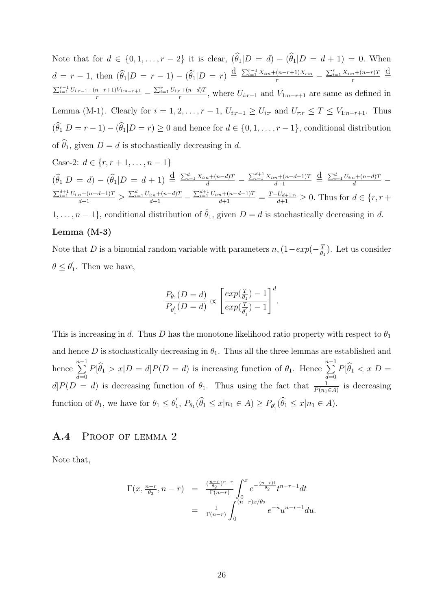Note that for  $d \in \{0, 1, \ldots, r-2\}$  it is clear,  $(\widehat{\theta}_1|D = d) - (\widehat{\theta}_1|D = d+1) = 0$ . When  $d = r - 1$ , then  $(\widehat{\theta}_1 | D = r - 1) - (\widehat{\theta}_1 | D = r) \stackrel{\text{d}}{=} \frac{\sum_{i=1}^{r-1} X_{i:n} + (n-r+1)X_{r:n}}{r} - \frac{\sum_{i=1}^{r} X_{i:n} + (n-r)T}{r}$  $\frac{1}{r}$  +  $\frac{(n-r)T}{r} \stackrel{\text{d}}{=}$  $\frac{\sum_{i=1}^{r-1} U_{i:r-1}+(n-r+1)V_{1:n-r+1}}{r} - \frac{\sum_{i=1}^{r} U_{i:r}+(n-d)T}{r}$  $\frac{r^{(r+1)}+r^{(n-a)/2}}{r}$ , where  $U_{i:r-1}$  and  $V_{1:n-r+1}$  are same as defined in Lemma (M-1). Clearly for  $i = 1, 2, \ldots, r - 1$ ,  $U_{i:r-1} \ge U_{i:r}$  and  $U_{r:r} \le T \le V_{1:n-r+1}$ . Thus  $(\widehat{\theta}_1|D = r - 1) - (\widehat{\theta}_1|D = r) \ge 0$  and hence for  $d \in \{0, 1, \ldots, r - 1\}$ , conditional distribution of  $\hat{\theta}_1$ , given  $D = d$  is stochastically decreasing in d. Case-2:  $d \in \{r, r+1, \ldots, n-1\}$ 

$$
(\hat{\theta}_1|D = d) - (\hat{\theta}_1|D = d+1) \stackrel{d}{=} \frac{\sum_{i=1}^d X_{i:n} + (n-d)T}{d} - \frac{\sum_{i=1}^{d+1} X_{i:n} + (n-d-1)T}{d+1} \stackrel{d}{=} \frac{\sum_{i=1}^d U_{i:n} + (n-d)T}{d} - \frac{\sum_{i=1}^{d+1} U_{i:n} + (n-d-1)T}{d+1} \ge \frac{\sum_{i=1}^d U_{i:n} + (n-d)T}{d+1} - \frac{\sum_{i=1}^{d+1} U_{i:n} + (n-d-1)T}{d+1} = \frac{T - U_{d+1:n}}{d+1} \ge 0.
$$
 Thus for  $d \in \{r, r+1, \ldots, n-1\}$ , conditional distribution of  $\hat{\theta}_1$ , given  $D = d$  is stochastically decreasing in  $d$ .

#### Lemma (M-3)

Note that D is a binomial random variable with parameters  $n,(1-exp(-\frac{T}{\theta})$  $\frac{T}{\theta_1}$ ). Let us consider  $\theta \leq \theta_1'$  $\int_1$ . Then we have,

$$
\frac{P_{\theta_1}(D=d)}{P_{\theta'_1}(D=d)} \propto \left[\frac{\exp(\frac{T}{\theta_1})-1}{\exp(\frac{T}{\theta'_1})-1}\right]^d.
$$

This is increasing in d. Thus D has the monotone likelihood ratio property with respect to  $\theta_1$ and hence D is stochastically decreasing in  $\theta_1$ . Thus all the three lemmas are established and hence  $\sum^{n-1}$  $\sum_{d=0}^{n-1} P[\widehat{\theta}_1 > x | D = d] P(D = d)$  is increasing function of  $\theta_1$ . Hence  $\sum_{d=0}^{n-1}$  $\sum_{d=0} P[\theta_1 < x | D]$  $dP(D = d)$  is decreasing function of  $\theta_1$ . Thus using the fact that  $\frac{1}{P(n_1 \in A)}$  is decreasing function of  $\theta_1$ , we have for  $\theta_1 \leq \theta'_1$  $T_1, P_{\theta_1}(\theta_1 \leq x | n_1 \in A) \geq P_{\theta_1'}$  $\sum_{1} (\theta_1 \leq x | n_1 \in A).$ 

#### A.4 PROOF OF LEMMA 2

Note that,

$$
\Gamma(x, \frac{n-r}{\theta_2}, n-r) = \frac{\frac{n-r}{\theta_2}n-r}{\Gamma(n-r)} \int_0^x e^{-\frac{(n-r)t}{\theta_2}} t^{n-r-1} dt
$$
  
=  $\frac{1}{\Gamma(n-r)} \int_0^{(n-r)x/\theta_2} e^{-u} u^{n-r-1} du.$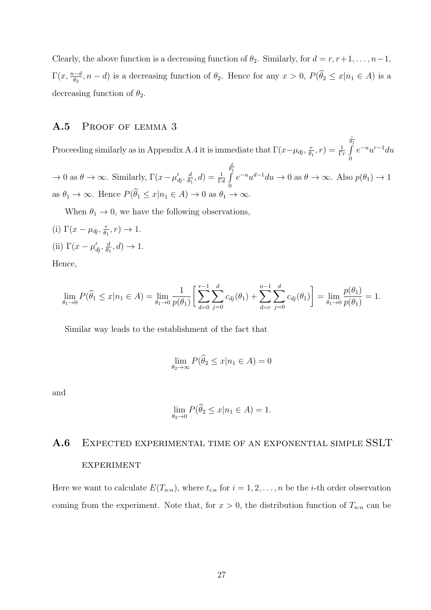Clearly, the above function is a decreasing function of  $\theta_2$ . Similarly, for  $d = r, r+1, \ldots, n-1$ ,  $\Gamma(x, \frac{n-d}{\theta_2}, n-d)$  is a decreasing function of  $\theta_2$ . Hence for any  $x > 0$ ,  $P(\hat{\theta}_2 \le x | n_1 \in A)$  is a decreasing function of  $\theta_2$ .

#### A.5 PROOF OF LEMMA 3

Proceeding similarly as in Appendix A.4 it is immediate that  $\Gamma(x-\mu_{dj},\frac{r}{\theta},\frac{r}{\theta})$  $\frac{r}{\theta_1}$ ,  $r$ ) =  $\frac{1}{\Gamma r}$ r  $\int$ 0  $e^{-u}u^{r-1}du$  $\rightarrow 0$  as  $\theta \rightarrow \infty$ . Similarly,  $\Gamma(x-\mu_{dj}^{\prime}, \frac{d}{\theta_1})$  $\frac{d}{\theta_1}, d$ ) =  $\frac{1}{\Gamma d}$ d  $\int$ 0  $e^{-u}u^{d-1}du \to 0$  as  $\theta \to \infty$ . Also  $p(\theta_1) \to 1$ as  $\theta_1 \to \infty$ . Hence  $P(\widehat{\theta}_1 \leq x | n_1 \in A) \to 0$  as  $\theta_1 \to \infty$ .

When  $\theta_1 \rightarrow 0$ , we have the following observations,

(i)  $\Gamma(x-\mu_{dj},\frac{r}{\theta_1})$  $\frac{r}{\theta_1}, r) \rightarrow 1.$ (ii)  $\Gamma(x-\mu_{dj}^{\prime},\frac{d}{\theta_1})$  $\frac{d}{\theta_1}, d) \to 1.$ 

Hence,

$$
\lim_{\theta_1 \to 0} P(\widehat{\theta}_1 \le x | n_1 \in A) = \lim_{\theta_1 \to 0} \frac{1}{p(\theta_1)} \left[ \sum_{d=0}^{r-1} \sum_{j=0}^d c_{dj}(\theta_1) + \sum_{d=r}^{n-1} \sum_{j=0}^d c_{dj}(\theta_1) \right] = \lim_{\theta_1 \to 0} \frac{p(\theta_1)}{p(\theta_1)} = 1.
$$

Similar way leads to the establishment of the fact that

$$
\lim_{\theta_2 \to \infty} P(\widehat{\theta}_2 \le x | n_1 \in A) = 0
$$

and

$$
\lim_{\theta_2 \to 0} P(\widehat{\theta}_2 \le x | n_1 \in A) = 1.
$$

# A.6 Expected experimental time of an exponential simple SSLT **EXPERIMENT**

Here we want to calculate  $E(T_{n:n})$ , where  $t_{i:n}$  for  $i = 1, 2, ..., n$  be the *i*-th order observation coming from the experiment. Note that, for  $x > 0$ , the distribution function of  $T_{n:n}$  can be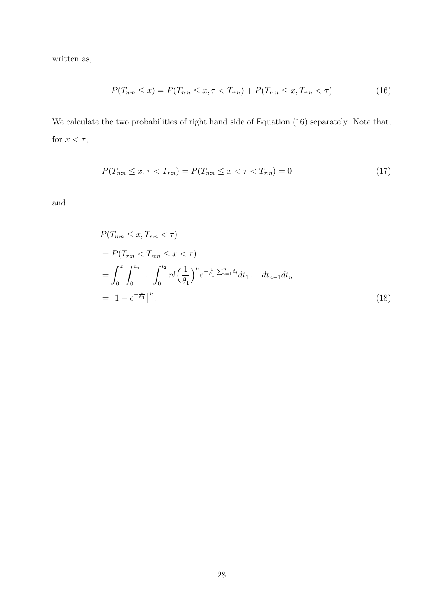written as,

$$
P(T_{n:n} \le x) = P(T_{n:n} \le x, \tau < T_{r:n}) + P(T_{n:n} \le x, T_{r:n} < \tau) \tag{16}
$$

We calculate the two probabilities of right hand side of Equation  $(16)$  separately. Note that, for  $x < \tau$ ,

$$
P(T_{n:n} \le x, \tau < T_{r:n}) = P(T_{n:n} \le x < \tau < T_{r:n}) = 0 \tag{17}
$$

and,

$$
P(T_{n:n} \le x, T_{r:n} < \tau)
$$
\n
$$
= P(T_{r:n} < T_{n:n} \le x < \tau)
$$
\n
$$
= \int_0^x \int_0^{t_n} \dots \int_0^{t_2} n! \left(\frac{1}{\theta_1}\right)^n e^{-\frac{1}{\theta_1} \sum_{i=1}^n t_i} dt_1 \dots dt_{n-1} dt_n
$$
\n
$$
= \left[1 - e^{-\frac{x}{\theta_1}}\right]^n. \tag{18}
$$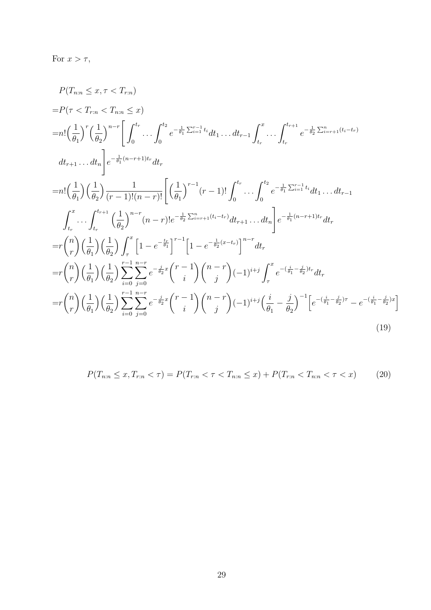For  $x > \tau$ ,

$$
P(T_{n:n} \leq x, \tau < T_{r:n})
$$
\n
$$
= P(\tau < T_{r:n} < T_{n:n} \leq x)
$$
\n
$$
= n! \left(\frac{1}{\theta_1}\right)^r \left(\frac{1}{\theta_2}\right)^{n-r} \left[\int_0^{t_r} \cdots \int_0^{t_2} e^{-\frac{1}{\theta_1} \sum_{i=1}^{r-1} t_i} dt_1 \cdots dt_{r-1} \int_{t_r}^x \cdots \int_{t_r}^{t_{r+1}} e^{-\frac{1}{\theta_2} \sum_{i=r+1}^n (t_i - t_r)} dt_{r+1} \cdots dt_n \right] e^{-\frac{1}{\theta_1}(n-r+1)t_r} dt_r
$$
\n
$$
= n! \left(\frac{1}{\theta_1}\right) \left(\frac{1}{\theta_2}\right) \frac{1}{(\tau-1)!(n-r)!} \left[\left(\frac{1}{\theta_1}\right)^{r-1} (r-1)! \int_0^{t_r} \cdots \int_0^{t_2} e^{-\frac{1}{\theta_1} \sum_{i=1}^{r-1} t_i} dt_1 \cdots dt_{r-1} \int_{t_r}^x \cdots \int_{t_r}^{t_{r+1}} \left(\frac{1}{\theta_2}\right)^{n-r} (n-r)! e^{-\frac{1}{\theta_2} \sum_{i=r+1}^{n} (t_i - t_r)} dt_{r+1} \cdots dt_n \right] e^{-\frac{1}{\theta_1}(n-r+1)t_r} dt_r
$$
\n
$$
= r \binom{n}{r} \left(\frac{1}{\theta_1}\right) \left(\frac{1}{\theta_2}\right) \int_{\tau}^x \left[1 - e^{-\frac{t_r}{\theta_1}}\right]^{r-1} \left[1 - e^{-\frac{1}{\theta_2}(x-t_r)}\right]^{n-r} dt_r
$$
\n
$$
= r \binom{n}{r} \left(\frac{1}{\theta_1}\right) \left(\frac{1}{\theta_2}\right) \sum_{i=0}^{r-1} \sum_{j=0}^{n-r} e^{-\frac{i}{\theta_2}x} \binom{r-1}{i} \binom{n-r}{j} (-1)^{i+j} \int_{\tau}^x e^{-\left(\frac{i}{\theta_1} - \frac{i}{\theta_2}\right)t_r} dt_r
$$

$$
P(T_{n:n} \le x, T_{r:n} < \tau) = P(T_{r:n} < \tau < T_{n:n} \le x) + P(T_{r:n} < T_{n:n} < \tau < x) \tag{20}
$$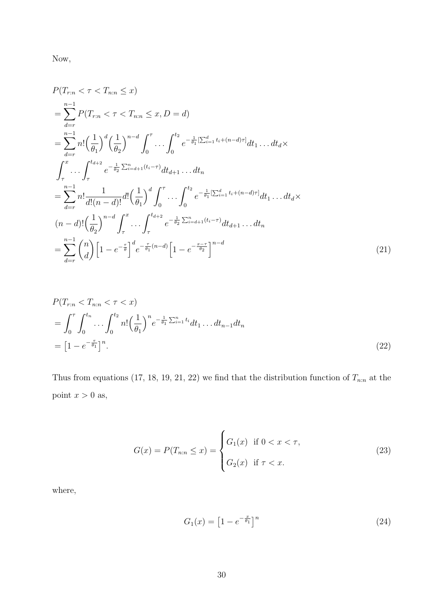Now,

$$
P(T_{r:n} < \tau < T_{n:n} \leq x)
$$
\n
$$
= \sum_{d=r}^{n-1} P(T_{r:n} < \tau < T_{n:n} \leq x, D = d)
$$
\n
$$
= \sum_{d=r}^{n-1} n! \left(\frac{1}{\theta_1}\right)^d \left(\frac{1}{\theta_2}\right)^{n-d} \int_0^\tau \dots \int_0^{t_2} e^{-\frac{1}{\theta_1} \left[\sum_{i=1}^d t_i + (n-d)\tau\right]} dt_1 \dots dt_d \times
$$
\n
$$
\int_{\tau}^x \dots \int_{\tau}^{t_{d+2}} e^{-\frac{1}{\theta_2} \sum_{i=d+1}^n (t_i - \tau)} dt_{d+1} \dots dt_n
$$
\n
$$
= \sum_{d=r}^{n-1} n! \frac{1}{d!(n-d)!} d! \left(\frac{1}{\theta_1}\right)^d \int_0^\tau \dots \int_0^{t_2} e^{-\frac{1}{\theta_1} \left[\sum_{i=1}^d t_i + (n-d)\tau\right]} dt_1 \dots dt_d \times
$$
\n
$$
(n-d)! \left(\frac{1}{\theta_2}\right)^{n-d} \int_{\tau}^x \dots \int_{\tau}^{t_{d+2}} e^{-\frac{1}{\theta_2} \sum_{i=d+1}^n (t_i - \tau)} dt_{d+1} \dots dt_n
$$
\n
$$
= \sum_{d=r}^{n-1} {n \choose d} \left[1 - e^{-\frac{\tau}{\theta}}\right]^d e^{-\frac{\tau}{\theta_1}(n-d)} \left[1 - e^{-\frac{x-\tau}{\theta_2}}\right]^{n-d} \tag{21}
$$

$$
P(T_{r:n} < T_{n:n} < \tau < x)
$$
\n
$$
= \int_0^\tau \int_0^{t_n} \cdots \int_0^{t_2} n! \left(\frac{1}{\theta_1}\right)^n e^{-\frac{1}{\theta_1} \sum_{i=1}^n t_i} dt_1 \dots dt_{n-1} dt_n
$$
\n
$$
= \left[1 - e^{-\frac{\tau}{\theta_1}}\right]^n. \tag{22}
$$

Thus from equations (17, 18, 19, 21, 22) we find that the distribution function of  $T_{n:n}$  at the point  $x > 0$  as,

$$
G(x) = P(T_{n:n} \le x) = \begin{cases} G_1(x) & \text{if } 0 < x < \tau, \\ G_2(x) & \text{if } \tau < x. \end{cases}
$$
 (23)

where,

$$
G_1(x) = \left[1 - e^{-\frac{x}{\theta_1}}\right]^n \tag{24}
$$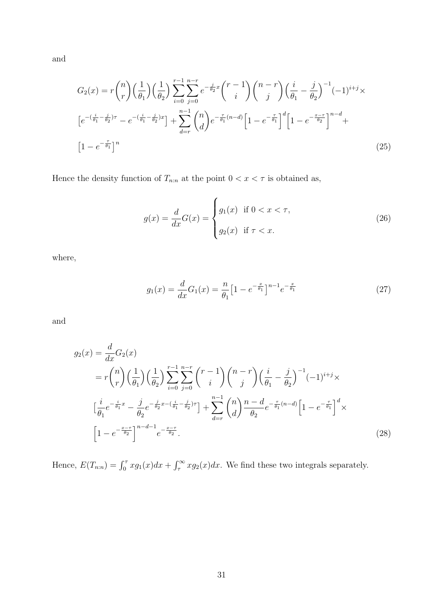and

$$
G_2(x) = r \binom{n}{r} \left(\frac{1}{\theta_1}\right) \left(\frac{1}{\theta_2}\right) \sum_{i=0}^{r-1} \sum_{j=0}^{n-r} e^{-\frac{j}{\theta_2}x} \binom{r-1}{i} \binom{n-r}{j} \left(\frac{i}{\theta_1} - \frac{j}{\theta_2}\right)^{-1} (-1)^{i+j} \times
$$
  
\n
$$
\left[e^{-(\frac{i}{\theta_1} - \frac{j}{\theta_2})\tau} - e^{-(\frac{i}{\theta_1} - \frac{j}{\theta_2})x}\right] + \sum_{d=r}^{n-1} \binom{n}{d} e^{-\frac{\tau}{\theta_1}(n-d)} \left[1 - e^{-\frac{\tau}{\theta_1}}\right]^d \left[1 - e^{-\frac{x-\tau}{\theta_2}}\right]^{n-d} +
$$
  
\n
$$
\left[1 - e^{-\frac{\tau}{\theta_1}}\right]^n
$$
\n(25)

Hence the density function of  $T_{n:n}$  at the point  $0 < x < \tau$  is obtained as,

$$
g(x) = \frac{d}{dx}G(x) = \begin{cases} g_1(x) & \text{if } 0 < x < \tau, \\ g_2(x) & \text{if } \tau < x. \end{cases}
$$
 (26)

where,

$$
g_1(x) = \frac{d}{dx}G_1(x) = \frac{n}{\theta_1} \left[1 - e^{-\frac{x}{\theta_1}}\right]^{n-1} e^{-\frac{x}{\theta_1}}
$$
(27)

and

$$
g_2(x) = \frac{d}{dx} G_2(x)
$$
  
=  $r \binom{n}{r} \left(\frac{1}{\theta_1}\right) \left(\frac{1}{\theta_2}\right) \sum_{i=0}^{r-1} \sum_{j=0}^{n-r} \binom{r-1}{i} \binom{n-r}{j} \left(\frac{i}{\theta_1} - \frac{j}{\theta_2}\right)^{-1} (-1)^{i+j} \times$   

$$
\left[\frac{i}{\theta_1} e^{-\frac{i}{\theta_1}x} - \frac{j}{\theta_2} e^{-\frac{j}{\theta_2}x - (\frac{i}{\theta_1} - \frac{j}{\theta_2})\tau}\right] + \sum_{d=r}^{n-1} \binom{n}{d} \frac{n-d}{\theta_2} e^{-\frac{\tau}{\theta_1}(n-d)} \left[1 - e^{-\frac{\tau}{\theta_1}}\right]^d \times
$$
  

$$
\left[1 - e^{-\frac{x-\tau}{\theta_2}}\right]^{n-d-1} e^{-\frac{x-\tau}{\theta_2}}.
$$
 (28)

Hence,  $E(T_{n:n}) = \int_0^{\tau} x g_1(x) dx + \int_{\tau}^{\infty} x g_2(x) dx$ . We find these two integrals separately.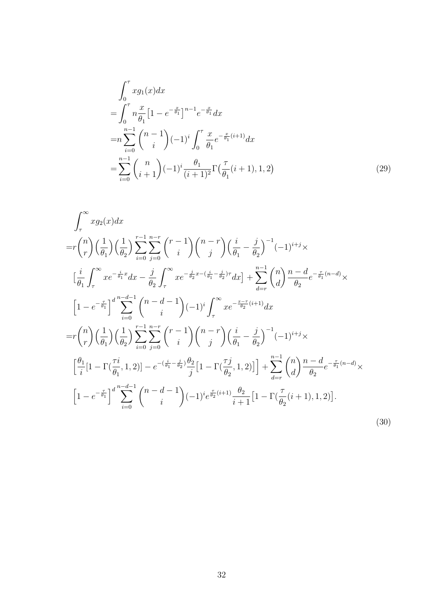$$
\int_{0}^{\tau} x g_{1}(x) dx
$$
\n
$$
= \int_{0}^{\tau} n \frac{x}{\theta_{1}} \left[ 1 - e^{-\frac{x}{\theta_{1}}} \right]^{n-1} e^{-\frac{x}{\theta_{1}}} dx
$$
\n
$$
= n \sum_{i=0}^{n-1} {n-1 \choose i} (-1)^{i} \int_{0}^{\tau} \frac{x}{\theta_{1}} e^{-\frac{x}{\theta_{1}}(i+1)} dx
$$
\n
$$
= \sum_{i=0}^{n-1} {n \choose i+1} (-1)^{i} \frac{\theta_{1}}{(i+1)^{2}} \Gamma(\frac{\tau}{\theta_{1}}(i+1), 1, 2)
$$
\n(29)

$$
\int_{\tau}^{\infty} x g_2(x) dx
$$
\n
$$
= r {n \choose r} \left(\frac{1}{\theta_1}\right) \left(\frac{1}{\theta_2}\right) \sum_{i=0}^{r-1} \sum_{j=0}^{n-r} {r-1 \choose i} {n-r \choose j} \left(\frac{i}{\theta_1} - \frac{j}{\theta_2}\right)^{-1} (-1)^{i+j} \times
$$
\n
$$
\left[\frac{i}{\theta_1} \int_{\tau}^{\infty} x e^{-\frac{i}{\theta_1}x} dx - \frac{j}{\theta_2} \int_{\tau}^{\infty} x e^{-\frac{j}{\theta_2}x - (\frac{i}{\theta_1} - \frac{j}{\theta_2})x} dx\right] + \sum_{d=r}^{n-1} {n \choose d} \frac{n-d}{\theta_2} e^{-\frac{\tau}{\theta_1}(n-d)} \times
$$
\n
$$
\left[1 - e^{-\frac{\tau}{\theta_1}}\right]^{d} \sum_{i=0}^{n-d-1} {n-d-1 \choose i} (-1)^i \int_{\tau}^{\infty} x e^{-\frac{x-\tau}{\theta_2}(i+1)} dx
$$
\n
$$
= r {n \choose r} \left(\frac{1}{\theta_1}\right) \left(\frac{1}{\theta_2}\right) \sum_{i=0}^{r-1} \sum_{j=0}^{n-r} {r-1 \choose i} {n-r \choose j} \left(\frac{i}{\theta_1} - \frac{j}{\theta_2}\right)^{-1} (-1)^{i+j} \times
$$
\n
$$
\left[\frac{\theta_1}{i} [1 - \Gamma(\frac{\tau}{\theta_1}, 1, 2)] - e^{-(\frac{i}{\theta_1} - \frac{j}{\theta_2})} \frac{\theta_2}{j} [1 - \Gamma(\frac{\tau}{\theta_2}, 1, 2)]\right] + \sum_{d=r}^{n-1} {n \choose d} \frac{n-d}{\theta_2} e^{-\frac{\tau}{\theta_1}(n-d)} \times
$$
\n
$$
\left[1 - e^{-\frac{\tau}{\theta_1}}\right]^{d} \sum_{i=0}^{n-d-1} {n-d-1 \choose i} (-1)^i e^{\frac{\tau}{\theta_2}(i+1)} \frac{\theta_2}{i+1} [1 - \Gamma(\frac{\tau}{\theta_2}(i+1), 1, 2)].
$$
\n(30)